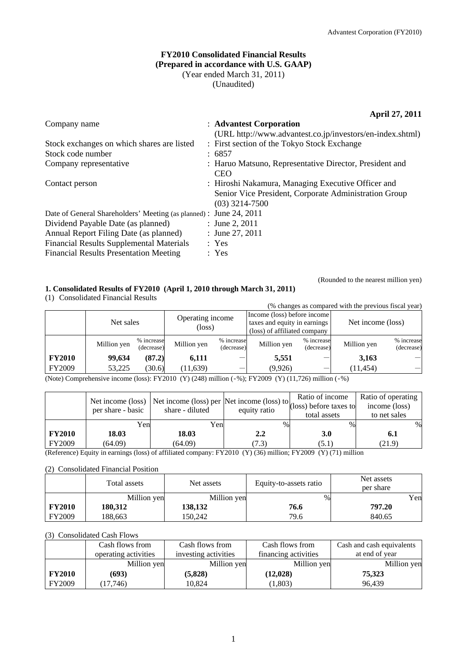# **FY2010 Consolidated Financial Results (Prepared in accordance with U.S. GAAP)**  (Year ended March 31, 2011) (Unaudited)

**April 27, 2011** 

| Company name                                                       | : Advantest Corporation                                   |
|--------------------------------------------------------------------|-----------------------------------------------------------|
|                                                                    | (URL http://www.advantest.co.jp/investors/en-index.shtml) |
| Stock exchanges on which shares are listed                         | : First section of the Tokyo Stock Exchange               |
| Stock code number                                                  | : 6857                                                    |
| Company representative                                             | : Haruo Matsuno, Representative Director, President and   |
|                                                                    | <b>CEO</b>                                                |
| Contact person                                                     | : Hiroshi Nakamura, Managing Executive Officer and        |
|                                                                    | Senior Vice President, Corporate Administration Group     |
|                                                                    | $(03)$ 3214-7500                                          |
| Date of General Shareholders' Meeting (as planned) : June 24, 2011 |                                                           |
| Dividend Payable Date (as planned)                                 | : June 2, $2011$                                          |
| Annual Report Filing Date (as planned)                             | : June 27, 2011                                           |
| <b>Financial Results Supplemental Materials</b>                    | : Yes                                                     |
| <b>Financial Results Presentation Meeting</b>                      | : Yes                                                     |
|                                                                    |                                                           |

# **1. Consolidated Results of FY2010 (April 1, 2010 through March 31, 2011)**

(1) Consolidated Financial Results

(% changes as compared with the previous fiscal year)

(Rounded to the nearest million yen)

|               | Net sales   |                          | Operating income<br>(loss) |                          | Income (loss) before income<br>taxes and equity in earnings<br>(loss) of affiliated company |                          | Net income (loss) |                          |
|---------------|-------------|--------------------------|----------------------------|--------------------------|---------------------------------------------------------------------------------------------|--------------------------|-------------------|--------------------------|
|               | Million yen | % increase<br>(decrease) | Million yen                | % increase<br>(decrease) | Million yen                                                                                 | % increase<br>(decrease) | Million yen       | % increase<br>(decrease) |
| <b>FY2010</b> | 99,634      | (87.2)                   | 6.111                      |                          | 5,551                                                                                       |                          | 3,163             |                          |
| FY2009        | 53,225      | (30.6)                   | (11, 639)                  |                          | (9,926)                                                                                     |                          | (11, 454)         |                          |

(Note) Comprehensive income (loss): FY2010 (Y) (248) million (‐%); FY2009 (Y) (11,726) million (‐%)

|               | per share - basic | Net income (loss) Net income (loss) per $\left  \text{Net income (loss) to} \right $ (loss) before taxes to<br>share - diluted | equity ratio | total assets | Ratio of operating<br>income (loss)<br>to net sales |
|---------------|-------------------|--------------------------------------------------------------------------------------------------------------------------------|--------------|--------------|-----------------------------------------------------|
|               | Yen               | Yen                                                                                                                            | %            | $\%$         | $\%$                                                |
| <b>FY2010</b> | 18.03             | 18.03                                                                                                                          | 2.2          | 3.0          | 6.1                                                 |
| <b>FY2009</b> | (64.09)           | (64.09)                                                                                                                        | 7.3)         | (5.1)        | (21.9)                                              |

(Reference) Equity in earnings (loss) of affiliated company: FY2010 (Y) (36) million; FY2009 (Y) (71) million

#### (2) Consolidated Financial Position

|               | Total assets | Net assets  | Equity-to-assets ratio | Net assets<br>per share |
|---------------|--------------|-------------|------------------------|-------------------------|
|               | Million yen  | Million yen | %                      | Yen                     |
| <b>FY2010</b> | 180,312      | 138,132     | 76.6                   | 797.20                  |
| <b>FY2009</b> | 188.663      | 150.242     | 79.6                   | 840.65                  |

#### (3) Consolidated Cash Flows

|               | Cash flows from      | Cash flows from      | Cash flows from      | Cash and cash equivalents |
|---------------|----------------------|----------------------|----------------------|---------------------------|
|               | operating activities | investing activities | financing activities | at end of year            |
|               | Million yen          | Million yen          | Million yen          | Million yen               |
| <b>FY2010</b> | (693)                | (5,828)              | (12, 028)            | 75.323                    |
| FY2009        | (17,746)             | 10,824               | 1,803)               | 96.439                    |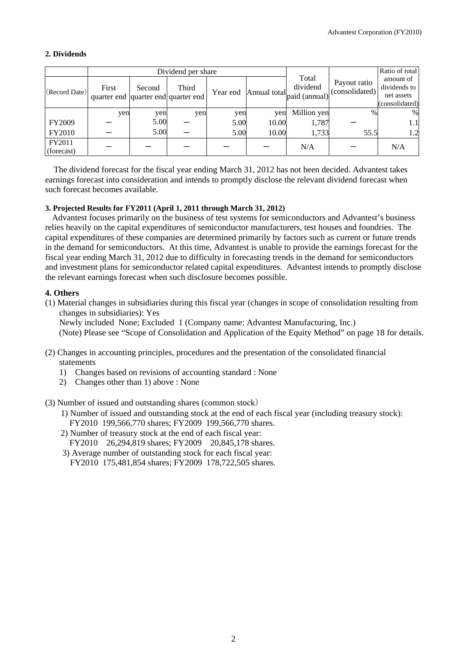# **2. Dividends**

|                      |                                              |        | Dividend per share |          |              |                                    |                                | Ratio of total                                            |
|----------------------|----------------------------------------------|--------|--------------------|----------|--------------|------------------------------------|--------------------------------|-----------------------------------------------------------|
| (Record Date)        | First<br>quarter end quarter end quarter end | Second | Third              | Year end | Annual total | Total<br>dividend<br>paid (annual) | Payout ratio<br>(consolidated) | amount of<br>dividends to<br>net assets<br>(consolidated) |
|                      | yen                                          | yen    | yen                | yen      | yen          | Million yen                        | $\%$                           | %                                                         |
| FY2009               |                                              | 5.00   |                    | 5.00     | 10.00        | 1,787                              |                                | 1.1                                                       |
| FY2010               |                                              | 5.00   |                    | 5.00     | 10.00        | 1,733                              | 55.5                           | 1.2                                                       |
| FY2011<br>(forecast) |                                              |        |                    |          |              | N/A                                |                                | N/A                                                       |

The dividend forecast for the fiscal year ending March 31, 2012 has not been decided. Advantest takes earnings forecast into consideration and intends to promptly disclose the relevant dividend forecast when such forecast becomes available.

### **3. Projected Results for FY2011 (April 1, 2011 through March 31, 2012)**

Advantest focuses primarily on the business of test systems for semiconductors and Advantest's business relies heavily on the capital expenditures of semiconductor manufacturers, test houses and foundries. The capital expenditures of these companies are determined primarily by factors such as current or future trends in the demand for semiconductors. At this time, Advantest is unable to provide the earnings forecast for the fiscal year ending March 31, 2012 due to difficulty in forecasting trends in the demand for semiconductors and investment plans for semiconductor related capital expenditures. Advantest intends to promptly disclose the relevant earnings forecast when such disclosure becomes possible.

### **4. Others**

(1) Material changes in subsidiaries during this fiscal year (changes in scope of consolidation resulting from changes in subsidiaries): Yes

Newly included None; Excluded 1 (Company name: Advantest Manufacturing, Inc.) (Note) Please see "Scope of Consolidation and Application of the Equity Method" on page 18 for details.

- (2) Changes in accounting principles, procedures and the presentation of the consolidated financial statements
	- 1) Changes based on revisions of accounting standard : None
	- 2) Changes other than 1) above : None

(3) Number of issued and outstanding shares (common stock)

- 1) Number of issued and outstanding stock at the end of each fiscal year (including treasury stock): FY2010 199,566,770 shares; FY2009 199,566,770 shares.
- 2) Number of treasury stock at the end of each fiscal year:
- FY2010 26,294,819 shares; FY2009 20,845,178 shares.

3) Average number of outstanding stock for each fiscal year:

FY2010 175,481,854 shares; FY2009 178,722,505 shares.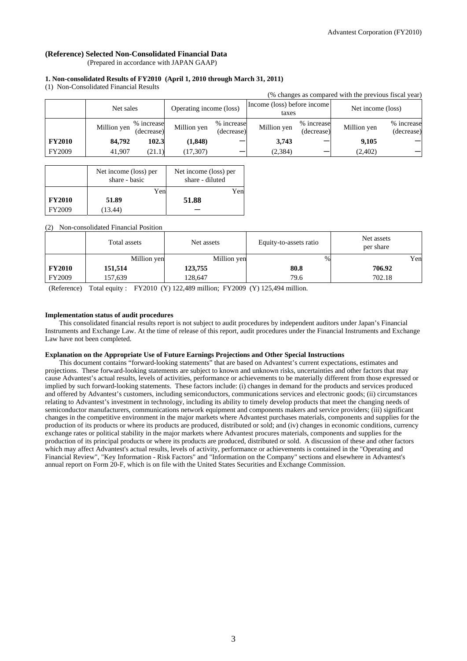# **(Reference) Selected Non-Consolidated Financial Data**

(Prepared in accordance with JAPAN GAAP)

#### **1. Non-consolidated Results of FY2010 (April 1, 2010 through March 31, 2011)**

(1) Non-Consolidated Financial Results

|               |             |                          |                         |                          |                                      |                          | (% changes as compared with the previous fiscal year) |                          |
|---------------|-------------|--------------------------|-------------------------|--------------------------|--------------------------------------|--------------------------|-------------------------------------------------------|--------------------------|
|               | Net sales   |                          | Operating income (loss) |                          | Income (loss) before income<br>taxes |                          | Net income (loss)                                     |                          |
|               | Million yen | % increase<br>(decrease) | Million yen             | % increase<br>(decrease) | Million yen                          | % increase<br>(decrease) | Million yen                                           | % increase<br>(decrease) |
| <b>FY2010</b> | 84,792      | 102.3                    | (1, 848)                |                          | 3,743                                |                          | 9,105                                                 |                          |
| <b>FY2009</b> | 41.907      | (21.1)                   | (17, 307)               |                          | (2, 384)                             |                          | (2,402)                                               |                          |

|               | Net income (loss) per<br>share - basic | Net income (loss) per<br>share - diluted |
|---------------|----------------------------------------|------------------------------------------|
|               | Yen                                    | Yen                                      |
| <b>FY2010</b> | 51.89                                  | 51.88                                    |
| FY2009        | (13.44)                                |                                          |

#### (2) Non-consolidated Financial Position

|               | Total assets | Net assets  | Equity-to-assets ratio | Net assets<br>per share |
|---------------|--------------|-------------|------------------------|-------------------------|
|               | Million yen  | Million yen | %                      | Yen                     |
| <b>FY2010</b> | 151,514      | 123,755     | 80.8                   | 706.92                  |
| FY2009        | 157,639      | 128,647     | 79.6                   | 702.18                  |

(Reference) Total equity : FY2010 (Y) 122,489 million; FY2009 (Y) 125,494 million.

#### **Implementation status of audit procedures**

This consolidated financial results report is not subject to audit procedures by independent auditors under Japan's Financial Instruments and Exchange Law. At the time of release of this report, audit procedures under the Financial Instruments and Exchange Law have not been completed.

#### **Explanation on the Appropriate Use of Future Earnings Projections and Other Special Instructions**

This document contains "forward-looking statements" that are based on Advantest's current expectations, estimates and projections. These forward-looking statements are subject to known and unknown risks, uncertainties and other factors that may cause Advantest's actual results, levels of activities, performance or achievements to be materially different from those expressed or implied by such forward-looking statements. These factors include: (i) changes in demand for the products and services produced and offered by Advantest's customers, including semiconductors, communications services and electronic goods; (ii) circumstances relating to Advantest's investment in technology, including its ability to timely develop products that meet the changing needs of semiconductor manufacturers, communications network equipment and components makers and service providers; (iii) significant changes in the competitive environment in the major markets where Advantest purchases materials, components and supplies for the production of its products or where its products are produced, distributed or sold; and (iv) changes in economic conditions, currency exchange rates or political stability in the major markets where Advantest procures materials, components and supplies for the production of its principal products or where its products are produced, distributed or sold. A discussion of these and other factors which may affect Advantest's actual results, levels of activity, performance or achievements is contained in the "Operating and Financial Review", "Key Information - Risk Factors" and "Information on the Company" sections and elsewhere in Advantest's annual report on Form 20-F, which is on file with the United States Securities and Exchange Commission.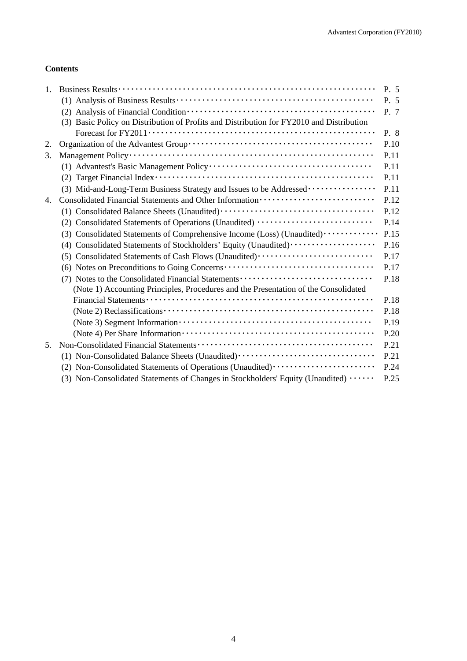# **Contents**

| (3) Basic Policy on Distribution of Profits and Distribution for FY2010 and Distribution<br>2.<br>3.<br>(3) Mid-and-Long-Term Business Strategy and Issues to be Addressed<br>Consolidated Financial Statements and Other Information ·························<br>4.<br>(2) Consolidated Statements of Operations (Unaudited)<br>(3) Consolidated Statements of Comprehensive Income (Loss) (Unaudited) ·············<br>(4) Consolidated Statements of Stockholders' Equity (Unaudited)<br>(5) Consolidated Statements of Cash Flows (Unaudited)<br>(7) Notes to the Consolidated Financial Statements<br>(Note 1) Accounting Principles, Procedures and the Presentation of the Consolidated<br>5.<br>(1) Non-Consolidated Balance Sheets (Unaudited)<br>(2) Non-Consolidated Statements of Operations (Unaudited) ······················<br>(3) Non-Consolidated Statements of Changes in Stockholders' Equity (Unaudited) | 1. | P. 5 |
|--------------------------------------------------------------------------------------------------------------------------------------------------------------------------------------------------------------------------------------------------------------------------------------------------------------------------------------------------------------------------------------------------------------------------------------------------------------------------------------------------------------------------------------------------------------------------------------------------------------------------------------------------------------------------------------------------------------------------------------------------------------------------------------------------------------------------------------------------------------------------------------------------------------------------------|----|------|
|                                                                                                                                                                                                                                                                                                                                                                                                                                                                                                                                                                                                                                                                                                                                                                                                                                                                                                                                |    | P. 5 |
|                                                                                                                                                                                                                                                                                                                                                                                                                                                                                                                                                                                                                                                                                                                                                                                                                                                                                                                                |    | P. 7 |
|                                                                                                                                                                                                                                                                                                                                                                                                                                                                                                                                                                                                                                                                                                                                                                                                                                                                                                                                |    |      |
|                                                                                                                                                                                                                                                                                                                                                                                                                                                                                                                                                                                                                                                                                                                                                                                                                                                                                                                                |    | P. 8 |
|                                                                                                                                                                                                                                                                                                                                                                                                                                                                                                                                                                                                                                                                                                                                                                                                                                                                                                                                |    | P.10 |
|                                                                                                                                                                                                                                                                                                                                                                                                                                                                                                                                                                                                                                                                                                                                                                                                                                                                                                                                |    | P.11 |
|                                                                                                                                                                                                                                                                                                                                                                                                                                                                                                                                                                                                                                                                                                                                                                                                                                                                                                                                |    | P.11 |
|                                                                                                                                                                                                                                                                                                                                                                                                                                                                                                                                                                                                                                                                                                                                                                                                                                                                                                                                |    | P.11 |
|                                                                                                                                                                                                                                                                                                                                                                                                                                                                                                                                                                                                                                                                                                                                                                                                                                                                                                                                |    | P.11 |
|                                                                                                                                                                                                                                                                                                                                                                                                                                                                                                                                                                                                                                                                                                                                                                                                                                                                                                                                |    | P.12 |
|                                                                                                                                                                                                                                                                                                                                                                                                                                                                                                                                                                                                                                                                                                                                                                                                                                                                                                                                |    | P.12 |
|                                                                                                                                                                                                                                                                                                                                                                                                                                                                                                                                                                                                                                                                                                                                                                                                                                                                                                                                |    | P.14 |
|                                                                                                                                                                                                                                                                                                                                                                                                                                                                                                                                                                                                                                                                                                                                                                                                                                                                                                                                |    | P.15 |
|                                                                                                                                                                                                                                                                                                                                                                                                                                                                                                                                                                                                                                                                                                                                                                                                                                                                                                                                |    | P.16 |
|                                                                                                                                                                                                                                                                                                                                                                                                                                                                                                                                                                                                                                                                                                                                                                                                                                                                                                                                |    | P.17 |
|                                                                                                                                                                                                                                                                                                                                                                                                                                                                                                                                                                                                                                                                                                                                                                                                                                                                                                                                |    | P.17 |
|                                                                                                                                                                                                                                                                                                                                                                                                                                                                                                                                                                                                                                                                                                                                                                                                                                                                                                                                |    | P.18 |
|                                                                                                                                                                                                                                                                                                                                                                                                                                                                                                                                                                                                                                                                                                                                                                                                                                                                                                                                |    |      |
|                                                                                                                                                                                                                                                                                                                                                                                                                                                                                                                                                                                                                                                                                                                                                                                                                                                                                                                                |    | P.18 |
|                                                                                                                                                                                                                                                                                                                                                                                                                                                                                                                                                                                                                                                                                                                                                                                                                                                                                                                                |    | P.18 |
|                                                                                                                                                                                                                                                                                                                                                                                                                                                                                                                                                                                                                                                                                                                                                                                                                                                                                                                                |    | P.19 |
|                                                                                                                                                                                                                                                                                                                                                                                                                                                                                                                                                                                                                                                                                                                                                                                                                                                                                                                                |    | P.20 |
|                                                                                                                                                                                                                                                                                                                                                                                                                                                                                                                                                                                                                                                                                                                                                                                                                                                                                                                                |    | P.21 |
|                                                                                                                                                                                                                                                                                                                                                                                                                                                                                                                                                                                                                                                                                                                                                                                                                                                                                                                                |    | P.21 |
|                                                                                                                                                                                                                                                                                                                                                                                                                                                                                                                                                                                                                                                                                                                                                                                                                                                                                                                                |    | P.24 |
|                                                                                                                                                                                                                                                                                                                                                                                                                                                                                                                                                                                                                                                                                                                                                                                                                                                                                                                                |    | P.25 |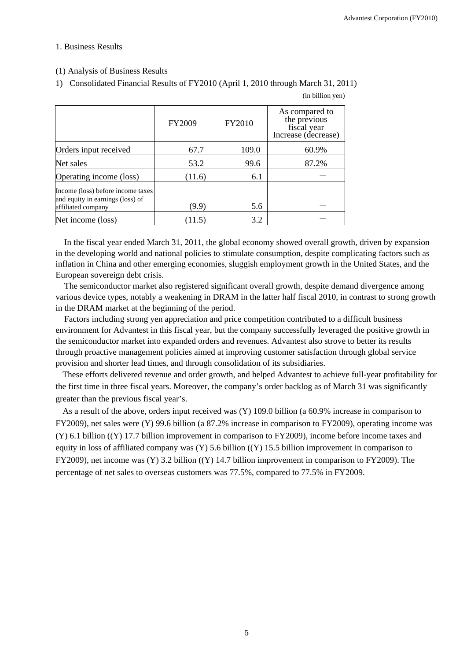### 1. Business Results

## (1) Analysis of Business Results

1) Consolidated Financial Results of FY2010 (April 1, 2010 through March 31, 2011)

|                                                                                             | <b>FY2009</b> | FY2010 | As compared to<br>the previous<br>fiscal year<br>Increase (decrease) |
|---------------------------------------------------------------------------------------------|---------------|--------|----------------------------------------------------------------------|
| Orders input received                                                                       | 67.7          | 109.0  | 60.9%                                                                |
| Net sales                                                                                   | 53.2          | 99.6   | 87.2%                                                                |
| Operating income (loss)                                                                     | (11.6)        | 6.1    |                                                                      |
| Income (loss) before income taxes<br>and equity in earnings (loss) of<br>affiliated company | (9.9)         | 5.6    |                                                                      |
| Net income (loss)                                                                           | (11.5)        | 3.2    |                                                                      |

(in billion yen)

In the fiscal year ended March 31, 2011, the global economy showed overall growth, driven by expansion in the developing world and national policies to stimulate consumption, despite complicating factors such as inflation in China and other emerging economies, sluggish employment growth in the United States, and the European sovereign debt crisis.

The semiconductor market also registered significant overall growth, despite demand divergence among various device types, notably a weakening in DRAM in the latter half fiscal 2010, in contrast to strong growth in the DRAM market at the beginning of the period.

Factors including strong yen appreciation and price competition contributed to a difficult business environment for Advantest in this fiscal year, but the company successfully leveraged the positive growth in the semiconductor market into expanded orders and revenues. Advantest also strove to better its results through proactive management policies aimed at improving customer satisfaction through global service provision and shorter lead times, and through consolidation of its subsidiaries.

These efforts delivered revenue and order growth, and helped Advantest to achieve full-year profitability for the first time in three fiscal years. Moreover, the company's order backlog as of March 31 was significantly greater than the previous fiscal year's.

As a result of the above, orders input received was (Y) 109.0 billion (a 60.9% increase in comparison to FY2009), net sales were (Y) 99.6 billion (a 87.2% increase in comparison to FY2009), operating income was (Y) 6.1 billion ((Y) 17.7 billion improvement in comparison to FY2009), income before income taxes and equity in loss of affiliated company was  $(Y)$  5.6 billion  $((Y)$  15.5 billion improvement in comparison to FY2009), net income was (Y) 3.2 billion ((Y) 14.7 billion improvement in comparison to FY2009). The percentage of net sales to overseas customers was 77.5%, compared to 77.5% in FY2009.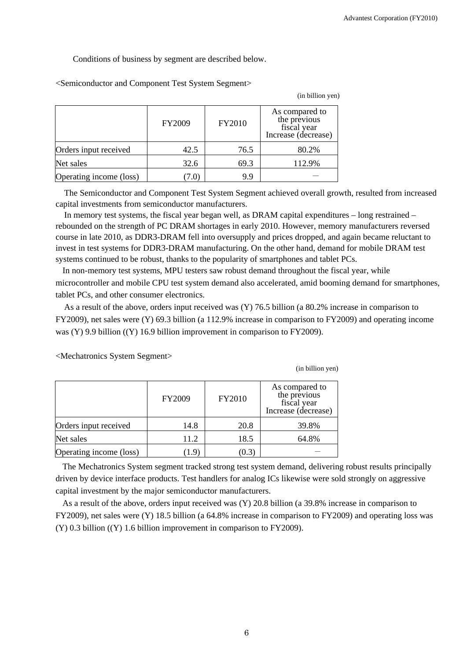Conditions of business by segment are described below.

|                         | FY2009        | FY2010 | As compared to<br>the previous<br>fiscal year<br>Increase (decrease) |
|-------------------------|---------------|--------|----------------------------------------------------------------------|
| Orders input received   | 42.5          | 76.5   | 80.2%                                                                |
| Net sales               | 32.6          | 69.3   | 112.9%                                                               |
| Operating income (loss) | $1.0^{\circ}$ | 9.9    |                                                                      |

<Semiconductor and Component Test System Segment>

The Semiconductor and Component Test System Segment achieved overall growth, resulted from increased capital investments from semiconductor manufacturers.

In memory test systems, the fiscal year began well, as DRAM capital expenditures – long restrained – rebounded on the strength of PC DRAM shortages in early 2010. However, memory manufacturers reversed course in late 2010, as DDR3-DRAM fell into oversupply and prices dropped, and again became reluctant to invest in test systems for DDR3-DRAM manufacturing. On the other hand, demand for mobile DRAM test systems continued to be robust, thanks to the popularity of smartphones and tablet PCs.

In non-memory test systems, MPU testers saw robust demand throughout the fiscal year, while microcontroller and mobile CPU test system demand also accelerated, amid booming demand for smartphones, tablet PCs, and other consumer electronics.

As a result of the above, orders input received was (Y) 76.5 billion (a 80.2% increase in comparison to FY2009), net sales were (Y) 69.3 billion (a 112.9% increase in comparison to FY2009) and operating income was (Y) 9.9 billion ((Y) 16.9 billion improvement in comparison to FY2009).

<Mechatronics System Segment>

|  | (in billion yen) |
|--|------------------|
|  |                  |

(in billion yen)

|                         | FY2009        | FY2010 | As compared to<br>the previous<br>fiscal year<br>Increase (decrease) |
|-------------------------|---------------|--------|----------------------------------------------------------------------|
| Orders input received   | 14.8          | 20.8   | 39.8%                                                                |
| Net sales               | 11.2          | 18.5   | 64.8%                                                                |
| Operating income (loss) | $1.9^{\circ}$ | (0.3)  |                                                                      |

The Mechatronics System segment tracked strong test system demand, delivering robust results principally driven by device interface products. Test handlers for analog ICs likewise were sold strongly on aggressive capital investment by the major semiconductor manufacturers.

As a result of the above, orders input received was (Y) 20.8 billion (a 39.8% increase in comparison to FY2009), net sales were (Y) 18.5 billion (a 64.8% increase in comparison to FY2009) and operating loss was (Y) 0.3 billion ((Y) 1.6 billion improvement in comparison to FY2009).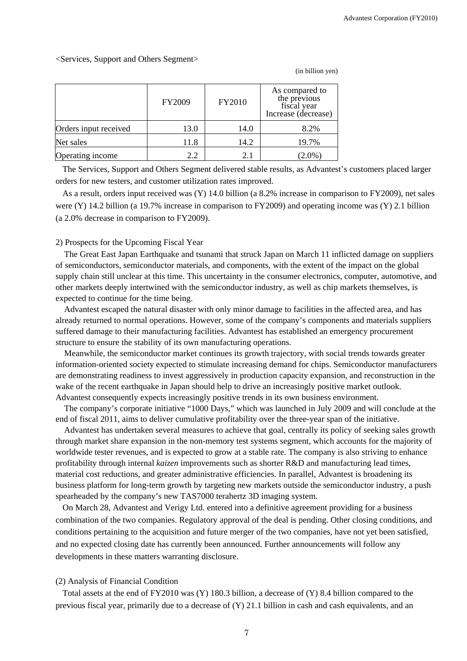#### <Services, Support and Others Segment>

|                       | FY2009 | FY2010 | As compared to<br>the previous<br>fiscal year<br>Increase (decrease) |
|-----------------------|--------|--------|----------------------------------------------------------------------|
| Orders input received | 13.0   | 14.0   | 8.2%                                                                 |
| Net sales             | 11.8   | 14.2   | 19.7%                                                                |
| Operating income      | 2.2    | 2.1    | $(2.0\%)$                                                            |

(in billion yen)

The Services, Support and Others Segment delivered stable results, as Advantest's customers placed larger orders for new testers, and customer utilization rates improved.

As a result, orders input received was (Y) 14.0 billion (a 8.2% increase in comparison to FY2009), net sales were (Y) 14.2 billion (a 19.7% increase in comparison to FY2009) and operating income was (Y) 2.1 billion (a 2.0% decrease in comparison to FY2009).

#### 2) Prospects for the Upcoming Fiscal Year

The Great East Japan Earthquake and tsunami that struck Japan on March 11 inflicted damage on suppliers of semiconductors, semiconductor materials, and components, with the extent of the impact on the global supply chain still unclear at this time. This uncertainty in the consumer electronics, computer, automotive, and other markets deeply intertwined with the semiconductor industry, as well as chip markets themselves, is expected to continue for the time being.

Advantest escaped the natural disaster with only minor damage to facilities in the affected area, and has already returned to normal operations. However, some of the company's components and materials suppliers suffered damage to their manufacturing facilities. Advantest has established an emergency procurement structure to ensure the stability of its own manufacturing operations.

Meanwhile, the semiconductor market continues its growth trajectory, with social trends towards greater information-oriented society expected to stimulate increasing demand for chips. Semiconductor manufacturers are demonstrating readiness to invest aggressively in production capacity expansion, and reconstruction in the wake of the recent earthquake in Japan should help to drive an increasingly positive market outlook. Advantest consequently expects increasingly positive trends in its own business environment.

The company's corporate initiative "1000 Days," which was launched in July 2009 and will conclude at the end of fiscal 2011, aims to deliver cumulative profitability over the three-year span of the initiative.

Advantest has undertaken several measures to achieve that goal, centrally its policy of seeking sales growth through market share expansion in the non-memory test systems segment, which accounts for the majority of worldwide tester revenues, and is expected to grow at a stable rate. The company is also striving to enhance profitability through internal *kaizen* improvements such as shorter R&D and manufacturing lead times, material cost reductions, and greater administrative efficiencies. In parallel, Advantest is broadening its business platform for long-term growth by targeting new markets outside the semiconductor industry, a push spearheaded by the company's new TAS7000 terahertz 3D imaging system.

On March 28, Advantest and Verigy Ltd. entered into a definitive agreement providing for a business combination of the two companies. Regulatory approval of the deal is pending. Other closing conditions, and conditions pertaining to the acquisition and future merger of the two companies, have not yet been satisfied, and no expected closing date has currently been announced. Further announcements will follow any developments in these matters warranting disclosure.

### (2) Analysis of Financial Condition

Total assets at the end of FY2010 was (Y) 180.3 billion, a decrease of (Y) 8.4 billion compared to the previous fiscal year, primarily due to a decrease of (Y) 21.1 billion in cash and cash equivalents, and an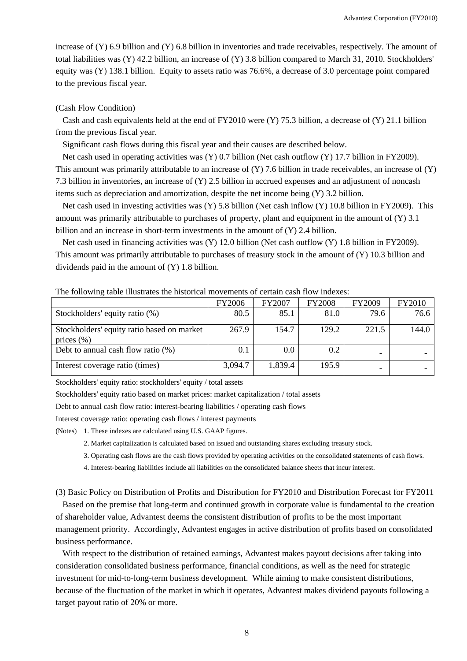increase of (Y) 6.9 billion and (Y) 6.8 billion in inventories and trade receivables, respectively. The amount of total liabilities was (Y) 42.2 billion, an increase of (Y) 3.8 billion compared to March 31, 2010. Stockholders' equity was (Y) 138.1 billion. Equity to assets ratio was 76.6%, a decrease of 3.0 percentage point compared to the previous fiscal year.

### (Cash Flow Condition)

Cash and cash equivalents held at the end of FY2010 were  $(Y)$  75.3 billion, a decrease of  $(Y)$  21.1 billion from the previous fiscal year.

Significant cash flows during this fiscal year and their causes are described below.

Net cash used in operating activities was (Y) 0.7 billion (Net cash outflow (Y) 17.7 billion in FY2009). This amount was primarily attributable to an increase of  $(Y)$  7.6 billion in trade receivables, an increase of  $(Y)$ 7.3 billion in inventories, an increase of (Y) 2.5 billion in accrued expenses and an adjustment of noncash items such as depreciation and amortization, despite the net income being (Y) 3.2 billion.

Net cash used in investing activities was (Y) 5.8 billion (Net cash inflow (Y) 10.8 billion in FY2009). This amount was primarily attributable to purchases of property, plant and equipment in the amount of (Y) 3.1 billion and an increase in short-term investments in the amount of (Y) 2.4 billion.

Net cash used in financing activities was (Y) 12.0 billion (Net cash outflow (Y) 1.8 billion in FY2009). This amount was primarily attributable to purchases of treasury stock in the amount of (Y) 10.3 billion and dividends paid in the amount of (Y) 1.8 billion.

|                                                              | FY2006  | <b>FY2007</b> | <b>FY2008</b> | <b>FY2009</b> | FY2010 |
|--------------------------------------------------------------|---------|---------------|---------------|---------------|--------|
| Stockholders' equity ratio (%)                               | 80.5    | 85.1          | 81.0          | 79.6          | 76.6   |
| Stockholders' equity ratio based on market<br>prices $(\% )$ | 267.9   | 154.7         | 129.2         | 221.5         | 144.0  |
| Debt to annual cash flow ratio $(\%)$                        | 0.1     | 0.0           | 0.2           |               |        |
| Interest coverage ratio (times)                              | 3,094.7 | 1,839.4       | 195.9         |               |        |

#### The following table illustrates the historical movements of certain cash flow indexes:

Stockholders' equity ratio: stockholders' equity / total assets

Stockholders' equity ratio based on market prices: market capitalization / total assets

Debt to annual cash flow ratio: interest-bearing liabilities / operating cash flows

Interest coverage ratio: operating cash flows / interest payments

(Notes) 1. These indexes are calculated using U.S. GAAP figures.

2. Market capitalization is calculated based on issued and outstanding shares excluding treasury stock.

3. Operating cash flows are the cash flows provided by operating activities on the consolidated statements of cash flows.

4. Interest-bearing liabilities include all liabilities on the consolidated balance sheets that incur interest.

(3) Basic Policy on Distribution of Profits and Distribution for FY2010 and Distribution Forecast for FY2011

Based on the premise that long-term and continued growth in corporate value is fundamental to the creation of shareholder value, Advantest deems the consistent distribution of profits to be the most important management priority. Accordingly, Advantest engages in active distribution of profits based on consolidated business performance.

With respect to the distribution of retained earnings, Advantest makes payout decisions after taking into consideration consolidated business performance, financial conditions, as well as the need for strategic investment for mid-to-long-term business development. While aiming to make consistent distributions, because of the fluctuation of the market in which it operates, Advantest makes dividend payouts following a target payout ratio of 20% or more.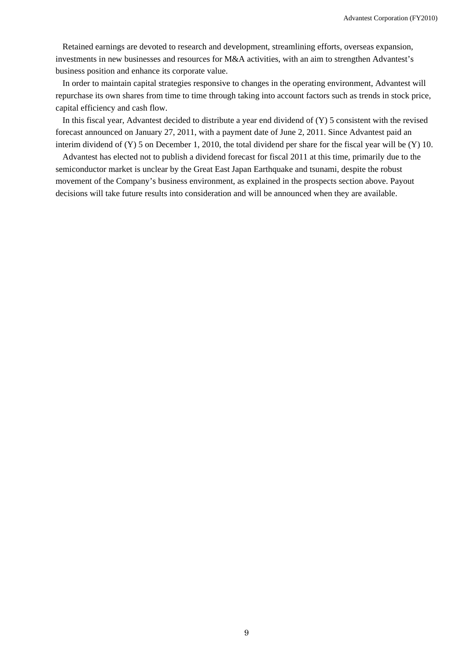Retained earnings are devoted to research and development, streamlining efforts, overseas expansion, investments in new businesses and resources for M&A activities, with an aim to strengthen Advantest's business position and enhance its corporate value.

In order to maintain capital strategies responsive to changes in the operating environment, Advantest will repurchase its own shares from time to time through taking into account factors such as trends in stock price, capital efficiency and cash flow.

In this fiscal year, Advantest decided to distribute a year end dividend of (Y) 5 consistent with the revised forecast announced on January 27, 2011, with a payment date of June 2, 2011. Since Advantest paid an interim dividend of (Y) 5 on December 1, 2010, the total dividend per share for the fiscal year will be (Y) 10.

Advantest has elected not to publish a dividend forecast for fiscal 2011 at this time, primarily due to the semiconductor market is unclear by the Great East Japan Earthquake and tsunami, despite the robust movement of the Company's business environment, as explained in the prospects section above. Payout decisions will take future results into consideration and will be announced when they are available.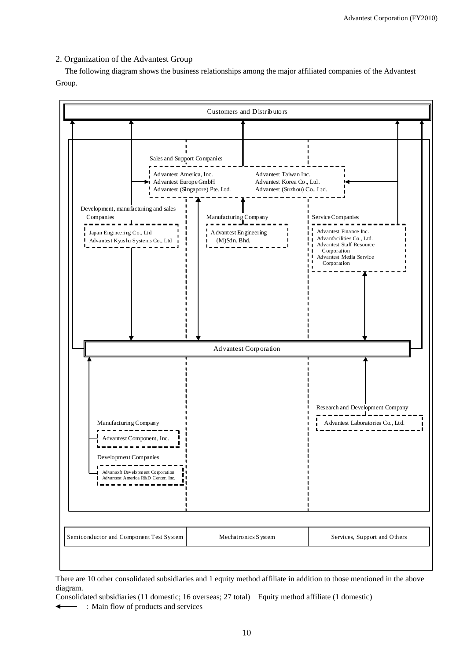# 2. Organization of the Advantest Group

The following diagram shows the business relationships among the major affiliated companies of the Advantest Group.



There are 10 other consolidated subsidiaries and 1 equity method affiliate in addition to those mentioned in the above diagram.

Consolidated subsidiaries (11 domestic; 16 overseas; 27 total) Equity method affiliate (1 domestic)

:Main flow of products and services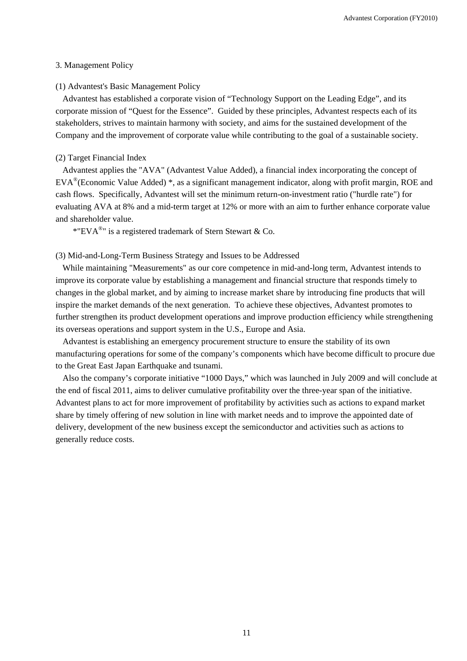#### 3. Management Policy

### (1) Advantest's Basic Management Policy

Advantest has established a corporate vision of "Technology Support on the Leading Edge", and its corporate mission of "Quest for the Essence". Guided by these principles, Advantest respects each of its stakeholders, strives to maintain harmony with society, and aims for the sustained development of the Company and the improvement of corporate value while contributing to the goal of a sustainable society.

#### (2) Target Financial Index

Advantest applies the "AVA" (Advantest Value Added), a financial index incorporating the concept of EVA®(Economic Value Added) \*, as a significant management indicator, along with profit margin, ROE and cash flows. Specifically, Advantest will set the minimum return-on-investment ratio ("hurdle rate") for evaluating AVA at 8% and a mid-term target at 12% or more with an aim to further enhance corporate value and shareholder value.

\*"EVA<sup>®</sup>" is a registered trademark of Stern Stewart & Co.

### (3) Mid-and-Long-Term Business Strategy and Issues to be Addressed

While maintaining "Measurements" as our core competence in mid-and-long term, Advantest intends to improve its corporate value by establishing a management and financial structure that responds timely to changes in the global market, and by aiming to increase market share by introducing fine products that will inspire the market demands of the next generation. To achieve these objectives, Advantest promotes to further strengthen its product development operations and improve production efficiency while strengthening its overseas operations and support system in the U.S., Europe and Asia.

Advantest is establishing an emergency procurement structure to ensure the stability of its own manufacturing operations for some of the company's components which have become difficult to procure due to the Great East Japan Earthquake and tsunami.

Also the company's corporate initiative "1000 Days," which was launched in July 2009 and will conclude at the end of fiscal 2011, aims to deliver cumulative profitability over the three-year span of the initiative. Advantest plans to act for more improvement of profitability by activities such as actions to expand market share by timely offering of new solution in line with market needs and to improve the appointed date of delivery, development of the new business except the semiconductor and activities such as actions to generally reduce costs.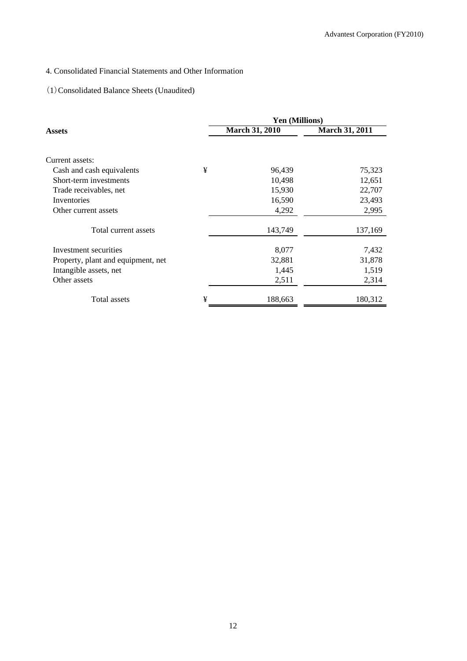# 4. Consolidated Financial Statements and Other Information

# (1)Consolidated Balance Sheets (Unaudited)

|                                    |   | <b>Yen (Millions)</b> |                       |  |  |
|------------------------------------|---|-----------------------|-----------------------|--|--|
| Assets                             |   | <b>March 31, 2010</b> | <b>March 31, 2011</b> |  |  |
|                                    |   |                       |                       |  |  |
| Current assets:                    |   |                       |                       |  |  |
| Cash and cash equivalents          | ¥ | 96,439                | 75,323                |  |  |
| Short-term investments             |   | 10,498                | 12,651                |  |  |
| Trade receivables, net             |   | 15,930                | 22,707                |  |  |
| Inventories                        |   | 16,590                | 23,493                |  |  |
| Other current assets               |   | 4,292                 | 2,995                 |  |  |
| Total current assets               |   | 143,749               | 137,169               |  |  |
| Investment securities              |   | 8,077                 | 7,432                 |  |  |
| Property, plant and equipment, net |   | 32,881                | 31,878                |  |  |
| Intangible assets, net             |   | 1,445                 | 1,519                 |  |  |
| Other assets                       |   | 2,511                 | 2,314                 |  |  |
| Total assets                       | ¥ | 188,663               | 180,312               |  |  |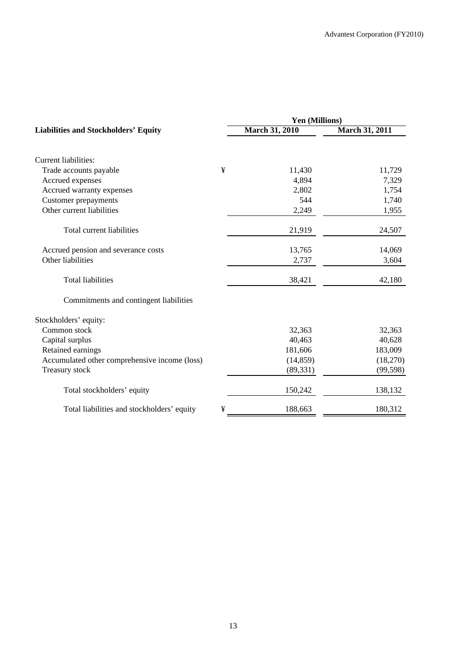|                                               |   | Yen (Millions)        |                       |  |  |  |
|-----------------------------------------------|---|-----------------------|-----------------------|--|--|--|
| <b>Liabilities and Stockholders' Equity</b>   |   | <b>March 31, 2010</b> | <b>March 31, 2011</b> |  |  |  |
| Current liabilities:                          |   |                       |                       |  |  |  |
| Trade accounts payable                        | ¥ | 11,430                | 11,729                |  |  |  |
| Accrued expenses                              |   | 4,894                 | 7,329                 |  |  |  |
| Accrued warranty expenses                     |   | 2,802                 | 1,754                 |  |  |  |
| <b>Customer prepayments</b>                   |   | 544                   | 1,740                 |  |  |  |
| Other current liabilities                     |   | 2,249                 | 1,955                 |  |  |  |
| Total current liabilities                     |   | 21,919                | 24,507                |  |  |  |
| Accrued pension and severance costs           |   | 13,765                | 14,069                |  |  |  |
| Other liabilities                             |   | 2,737                 | 3,604                 |  |  |  |
| <b>Total liabilities</b>                      |   | 38,421                | 42,180                |  |  |  |
| Commitments and contingent liabilities        |   |                       |                       |  |  |  |
| Stockholders' equity:                         |   |                       |                       |  |  |  |
| Common stock                                  |   | 32,363                | 32,363                |  |  |  |
| Capital surplus                               |   | 40,463                | 40,628                |  |  |  |
| Retained earnings                             |   | 181,606               | 183,009               |  |  |  |
| Accumulated other comprehensive income (loss) |   | (14, 859)             | (18,270)              |  |  |  |
| Treasury stock                                |   | (89, 331)             | (99, 598)             |  |  |  |
| Total stockholders' equity                    |   | 150,242               | 138,132               |  |  |  |
| Total liabilities and stockholders' equity    | ¥ | 188,663               | 180,312               |  |  |  |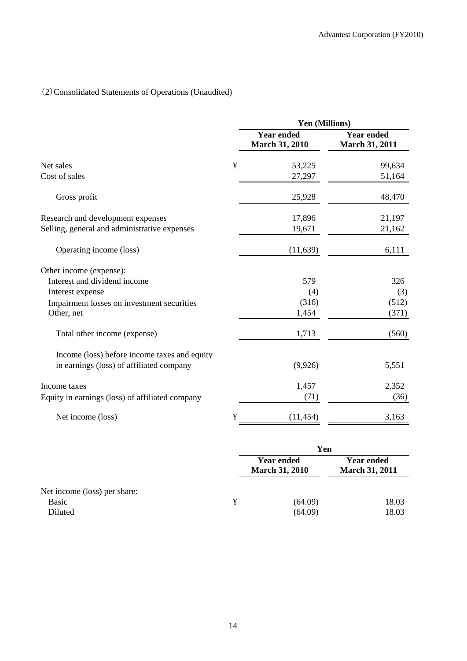# (2)Consolidated Statements of Operations (Unaudited)

|                                                 |   | Yen (Millions)                             |                                            |  |  |
|-------------------------------------------------|---|--------------------------------------------|--------------------------------------------|--|--|
|                                                 |   | <b>Year ended</b><br><b>March 31, 2010</b> | <b>Year ended</b><br><b>March 31, 2011</b> |  |  |
| Net sales                                       | ¥ | 53,225                                     | 99,634                                     |  |  |
| Cost of sales                                   |   | 27,297                                     | 51,164                                     |  |  |
| Gross profit                                    |   | 25,928                                     | 48,470                                     |  |  |
| Research and development expenses               |   | 17,896                                     | 21,197                                     |  |  |
| Selling, general and administrative expenses    |   | 19,671                                     | 21,162                                     |  |  |
| Operating income (loss)                         |   | (11,639)                                   | 6,111                                      |  |  |
| Other income (expense):                         |   |                                            |                                            |  |  |
| Interest and dividend income                    |   | 579                                        | 326                                        |  |  |
| Interest expense                                |   | (4)                                        | (3)                                        |  |  |
| Impairment losses on investment securities      |   | (316)                                      | (512)                                      |  |  |
| Other, net                                      |   | 1,454                                      | (371)                                      |  |  |
| Total other income (expense)                    |   | 1,713                                      | (560)                                      |  |  |
| Income (loss) before income taxes and equity    |   |                                            |                                            |  |  |
| in earnings (loss) of affiliated company        |   | (9,926)                                    | 5,551                                      |  |  |
| Income taxes                                    |   | 1,457                                      | 2,352                                      |  |  |
| Equity in earnings (loss) of affiliated company |   | (71)                                       | (36)                                       |  |  |
| Net income (loss)                               | ¥ | (11, 454)                                  | 3,163                                      |  |  |

|                              |   | Yen                                                                                      |                |  |
|------------------------------|---|------------------------------------------------------------------------------------------|----------------|--|
|                              |   | <b>Year ended</b><br><b>Year ended</b><br><b>March 31, 2010</b><br><b>March 31, 2011</b> |                |  |
| Net income (loss) per share: |   |                                                                                          |                |  |
| <b>Basic</b><br>Diluted      | ¥ | (64.09)<br>(64.09)                                                                       | 18.03<br>18.03 |  |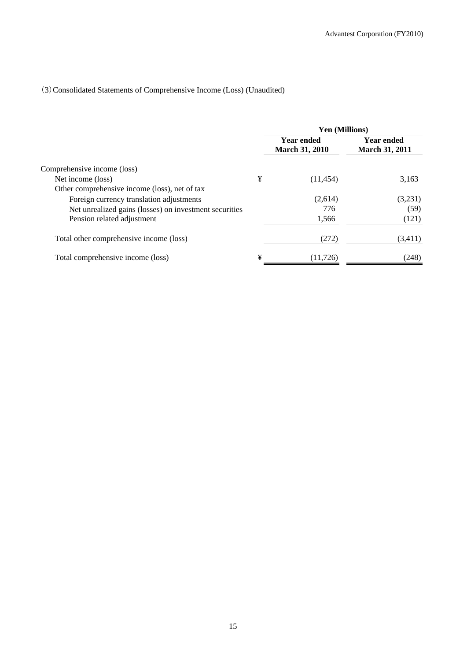# (3)Consolidated Statements of Comprehensive Income (Loss) (Unaudited)

|                                                        |   | <b>Yen (Millions)</b>                      |                                            |  |
|--------------------------------------------------------|---|--------------------------------------------|--------------------------------------------|--|
|                                                        |   | <b>Year ended</b><br><b>March 31, 2010</b> | <b>Year ended</b><br><b>March 31, 2011</b> |  |
| Comprehensive income (loss)                            |   |                                            |                                            |  |
| Net income (loss)                                      | ¥ | (11, 454)                                  | 3,163                                      |  |
| Other comprehensive income (loss), net of tax          |   |                                            |                                            |  |
| Foreign currency translation adjustments               |   | (2,614)                                    | (3,231)                                    |  |
| Net unrealized gains (losses) on investment securities |   | 776                                        | (59)                                       |  |
| Pension related adjustment                             |   | 1,566                                      | (121)                                      |  |
| Total other comprehensive income (loss)                |   | (272)                                      | (3,411)                                    |  |
| Total comprehensive income (loss)                      | ¥ | (11, 726)                                  | (248)                                      |  |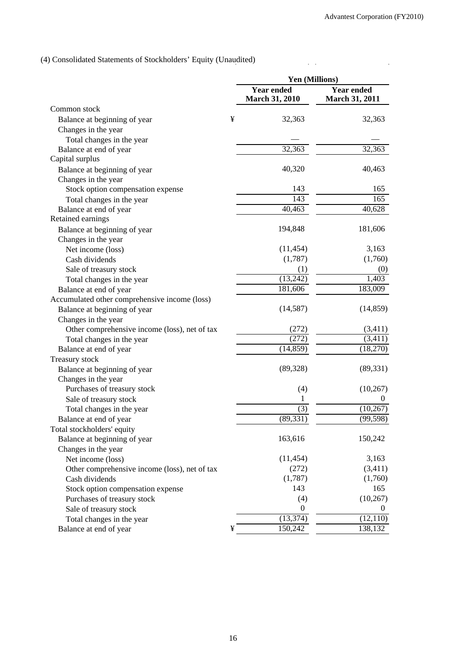$\ddot{\phantom{a}}$ 

 $\frac{1}{2}$  ,  $\frac{1}{2}$ 

# (4) Consolidated Statements of Stockholders' Equity (Unaudited)

| <b>Year ended</b><br><b>Year ended</b><br><b>March 31, 2010</b><br><b>March 31, 2011</b><br>Common stock<br>¥<br>32,363<br>32,363<br>Balance at beginning of year<br>Changes in the year<br>Total changes in the year<br>32,363<br>32,363<br>Balance at end of year<br>Capital surplus<br>40,320<br>40,463<br>Balance at beginning of year<br>Changes in the year<br>Stock option compensation expense<br>143<br>165<br>143<br>165<br>Total changes in the year<br>40,628<br>40,463<br>Balance at end of year<br>Retained earnings<br>Balance at beginning of year<br>194,848<br>181,606<br>Changes in the year<br>Net income (loss)<br>3,163<br>(11, 454)<br>(1,787)<br>(1,760)<br>Cash dividends<br>Sale of treasury stock<br>(0)<br>(1)<br>(13,242)<br>1,403<br>Total changes in the year<br>181,606<br>183,009<br>Balance at end of year<br>Accumulated other comprehensive income (loss)<br>(14, 859)<br>(14,587)<br>Balance at beginning of year<br>Changes in the year<br>(272)<br>(3,411)<br>Other comprehensive income (loss), net of tax<br>Total changes in the year<br>(272)<br>(3,411)<br>(14, 859)<br>(18,270)<br>Balance at end of year<br>Treasury stock<br>(89, 328)<br>(89, 331)<br>Balance at beginning of year<br>Changes in the year<br>Purchases of treasury stock<br>(4)<br>(10, 267)<br>Sale of treasury stock<br>1<br>$_{0}$<br>(3)<br>(10, 267)<br>Total changes in the year<br>(89, 331)<br>(99, 598)<br>Balance at end of year<br>Total stockholders' equity<br>163,616<br>150,242<br>Balance at beginning of year<br>Changes in the year<br>(11, 454)<br>3,163<br>Net income (loss)<br>(272)<br>(3,411)<br>Other comprehensive income (loss), net of tax<br>(1,787)<br>(1,760)<br>Cash dividends<br>143<br>165<br>Stock option compensation expense<br>Purchases of treasury stock<br>(4)<br>(10, 267)<br>Sale of treasury stock<br>$\mathbf{0}$<br>$\mathbf 0$<br>(13, 374)<br>(12, 110)<br>Total changes in the year<br>150,242<br>138,132<br>¥<br>Balance at end of year |  | Yen (Millions) |  |  |
|----------------------------------------------------------------------------------------------------------------------------------------------------------------------------------------------------------------------------------------------------------------------------------------------------------------------------------------------------------------------------------------------------------------------------------------------------------------------------------------------------------------------------------------------------------------------------------------------------------------------------------------------------------------------------------------------------------------------------------------------------------------------------------------------------------------------------------------------------------------------------------------------------------------------------------------------------------------------------------------------------------------------------------------------------------------------------------------------------------------------------------------------------------------------------------------------------------------------------------------------------------------------------------------------------------------------------------------------------------------------------------------------------------------------------------------------------------------------------------------------------------------------------------------------------------------------------------------------------------------------------------------------------------------------------------------------------------------------------------------------------------------------------------------------------------------------------------------------------------------------------------------------------------------------------------------------------------------------------------------------------------|--|----------------|--|--|
|                                                                                                                                                                                                                                                                                                                                                                                                                                                                                                                                                                                                                                                                                                                                                                                                                                                                                                                                                                                                                                                                                                                                                                                                                                                                                                                                                                                                                                                                                                                                                                                                                                                                                                                                                                                                                                                                                                                                                                                                          |  |                |  |  |
|                                                                                                                                                                                                                                                                                                                                                                                                                                                                                                                                                                                                                                                                                                                                                                                                                                                                                                                                                                                                                                                                                                                                                                                                                                                                                                                                                                                                                                                                                                                                                                                                                                                                                                                                                                                                                                                                                                                                                                                                          |  |                |  |  |
|                                                                                                                                                                                                                                                                                                                                                                                                                                                                                                                                                                                                                                                                                                                                                                                                                                                                                                                                                                                                                                                                                                                                                                                                                                                                                                                                                                                                                                                                                                                                                                                                                                                                                                                                                                                                                                                                                                                                                                                                          |  |                |  |  |
|                                                                                                                                                                                                                                                                                                                                                                                                                                                                                                                                                                                                                                                                                                                                                                                                                                                                                                                                                                                                                                                                                                                                                                                                                                                                                                                                                                                                                                                                                                                                                                                                                                                                                                                                                                                                                                                                                                                                                                                                          |  |                |  |  |
|                                                                                                                                                                                                                                                                                                                                                                                                                                                                                                                                                                                                                                                                                                                                                                                                                                                                                                                                                                                                                                                                                                                                                                                                                                                                                                                                                                                                                                                                                                                                                                                                                                                                                                                                                                                                                                                                                                                                                                                                          |  |                |  |  |
|                                                                                                                                                                                                                                                                                                                                                                                                                                                                                                                                                                                                                                                                                                                                                                                                                                                                                                                                                                                                                                                                                                                                                                                                                                                                                                                                                                                                                                                                                                                                                                                                                                                                                                                                                                                                                                                                                                                                                                                                          |  |                |  |  |
|                                                                                                                                                                                                                                                                                                                                                                                                                                                                                                                                                                                                                                                                                                                                                                                                                                                                                                                                                                                                                                                                                                                                                                                                                                                                                                                                                                                                                                                                                                                                                                                                                                                                                                                                                                                                                                                                                                                                                                                                          |  |                |  |  |
|                                                                                                                                                                                                                                                                                                                                                                                                                                                                                                                                                                                                                                                                                                                                                                                                                                                                                                                                                                                                                                                                                                                                                                                                                                                                                                                                                                                                                                                                                                                                                                                                                                                                                                                                                                                                                                                                                                                                                                                                          |  |                |  |  |
|                                                                                                                                                                                                                                                                                                                                                                                                                                                                                                                                                                                                                                                                                                                                                                                                                                                                                                                                                                                                                                                                                                                                                                                                                                                                                                                                                                                                                                                                                                                                                                                                                                                                                                                                                                                                                                                                                                                                                                                                          |  |                |  |  |
|                                                                                                                                                                                                                                                                                                                                                                                                                                                                                                                                                                                                                                                                                                                                                                                                                                                                                                                                                                                                                                                                                                                                                                                                                                                                                                                                                                                                                                                                                                                                                                                                                                                                                                                                                                                                                                                                                                                                                                                                          |  |                |  |  |
|                                                                                                                                                                                                                                                                                                                                                                                                                                                                                                                                                                                                                                                                                                                                                                                                                                                                                                                                                                                                                                                                                                                                                                                                                                                                                                                                                                                                                                                                                                                                                                                                                                                                                                                                                                                                                                                                                                                                                                                                          |  |                |  |  |
|                                                                                                                                                                                                                                                                                                                                                                                                                                                                                                                                                                                                                                                                                                                                                                                                                                                                                                                                                                                                                                                                                                                                                                                                                                                                                                                                                                                                                                                                                                                                                                                                                                                                                                                                                                                                                                                                                                                                                                                                          |  |                |  |  |
|                                                                                                                                                                                                                                                                                                                                                                                                                                                                                                                                                                                                                                                                                                                                                                                                                                                                                                                                                                                                                                                                                                                                                                                                                                                                                                                                                                                                                                                                                                                                                                                                                                                                                                                                                                                                                                                                                                                                                                                                          |  |                |  |  |
|                                                                                                                                                                                                                                                                                                                                                                                                                                                                                                                                                                                                                                                                                                                                                                                                                                                                                                                                                                                                                                                                                                                                                                                                                                                                                                                                                                                                                                                                                                                                                                                                                                                                                                                                                                                                                                                                                                                                                                                                          |  |                |  |  |
|                                                                                                                                                                                                                                                                                                                                                                                                                                                                                                                                                                                                                                                                                                                                                                                                                                                                                                                                                                                                                                                                                                                                                                                                                                                                                                                                                                                                                                                                                                                                                                                                                                                                                                                                                                                                                                                                                                                                                                                                          |  |                |  |  |
|                                                                                                                                                                                                                                                                                                                                                                                                                                                                                                                                                                                                                                                                                                                                                                                                                                                                                                                                                                                                                                                                                                                                                                                                                                                                                                                                                                                                                                                                                                                                                                                                                                                                                                                                                                                                                                                                                                                                                                                                          |  |                |  |  |
|                                                                                                                                                                                                                                                                                                                                                                                                                                                                                                                                                                                                                                                                                                                                                                                                                                                                                                                                                                                                                                                                                                                                                                                                                                                                                                                                                                                                                                                                                                                                                                                                                                                                                                                                                                                                                                                                                                                                                                                                          |  |                |  |  |
|                                                                                                                                                                                                                                                                                                                                                                                                                                                                                                                                                                                                                                                                                                                                                                                                                                                                                                                                                                                                                                                                                                                                                                                                                                                                                                                                                                                                                                                                                                                                                                                                                                                                                                                                                                                                                                                                                                                                                                                                          |  |                |  |  |
|                                                                                                                                                                                                                                                                                                                                                                                                                                                                                                                                                                                                                                                                                                                                                                                                                                                                                                                                                                                                                                                                                                                                                                                                                                                                                                                                                                                                                                                                                                                                                                                                                                                                                                                                                                                                                                                                                                                                                                                                          |  |                |  |  |
|                                                                                                                                                                                                                                                                                                                                                                                                                                                                                                                                                                                                                                                                                                                                                                                                                                                                                                                                                                                                                                                                                                                                                                                                                                                                                                                                                                                                                                                                                                                                                                                                                                                                                                                                                                                                                                                                                                                                                                                                          |  |                |  |  |
|                                                                                                                                                                                                                                                                                                                                                                                                                                                                                                                                                                                                                                                                                                                                                                                                                                                                                                                                                                                                                                                                                                                                                                                                                                                                                                                                                                                                                                                                                                                                                                                                                                                                                                                                                                                                                                                                                                                                                                                                          |  |                |  |  |
|                                                                                                                                                                                                                                                                                                                                                                                                                                                                                                                                                                                                                                                                                                                                                                                                                                                                                                                                                                                                                                                                                                                                                                                                                                                                                                                                                                                                                                                                                                                                                                                                                                                                                                                                                                                                                                                                                                                                                                                                          |  |                |  |  |
|                                                                                                                                                                                                                                                                                                                                                                                                                                                                                                                                                                                                                                                                                                                                                                                                                                                                                                                                                                                                                                                                                                                                                                                                                                                                                                                                                                                                                                                                                                                                                                                                                                                                                                                                                                                                                                                                                                                                                                                                          |  |                |  |  |
|                                                                                                                                                                                                                                                                                                                                                                                                                                                                                                                                                                                                                                                                                                                                                                                                                                                                                                                                                                                                                                                                                                                                                                                                                                                                                                                                                                                                                                                                                                                                                                                                                                                                                                                                                                                                                                                                                                                                                                                                          |  |                |  |  |
|                                                                                                                                                                                                                                                                                                                                                                                                                                                                                                                                                                                                                                                                                                                                                                                                                                                                                                                                                                                                                                                                                                                                                                                                                                                                                                                                                                                                                                                                                                                                                                                                                                                                                                                                                                                                                                                                                                                                                                                                          |  |                |  |  |
|                                                                                                                                                                                                                                                                                                                                                                                                                                                                                                                                                                                                                                                                                                                                                                                                                                                                                                                                                                                                                                                                                                                                                                                                                                                                                                                                                                                                                                                                                                                                                                                                                                                                                                                                                                                                                                                                                                                                                                                                          |  |                |  |  |
|                                                                                                                                                                                                                                                                                                                                                                                                                                                                                                                                                                                                                                                                                                                                                                                                                                                                                                                                                                                                                                                                                                                                                                                                                                                                                                                                                                                                                                                                                                                                                                                                                                                                                                                                                                                                                                                                                                                                                                                                          |  |                |  |  |
|                                                                                                                                                                                                                                                                                                                                                                                                                                                                                                                                                                                                                                                                                                                                                                                                                                                                                                                                                                                                                                                                                                                                                                                                                                                                                                                                                                                                                                                                                                                                                                                                                                                                                                                                                                                                                                                                                                                                                                                                          |  |                |  |  |
|                                                                                                                                                                                                                                                                                                                                                                                                                                                                                                                                                                                                                                                                                                                                                                                                                                                                                                                                                                                                                                                                                                                                                                                                                                                                                                                                                                                                                                                                                                                                                                                                                                                                                                                                                                                                                                                                                                                                                                                                          |  |                |  |  |
|                                                                                                                                                                                                                                                                                                                                                                                                                                                                                                                                                                                                                                                                                                                                                                                                                                                                                                                                                                                                                                                                                                                                                                                                                                                                                                                                                                                                                                                                                                                                                                                                                                                                                                                                                                                                                                                                                                                                                                                                          |  |                |  |  |
|                                                                                                                                                                                                                                                                                                                                                                                                                                                                                                                                                                                                                                                                                                                                                                                                                                                                                                                                                                                                                                                                                                                                                                                                                                                                                                                                                                                                                                                                                                                                                                                                                                                                                                                                                                                                                                                                                                                                                                                                          |  |                |  |  |
|                                                                                                                                                                                                                                                                                                                                                                                                                                                                                                                                                                                                                                                                                                                                                                                                                                                                                                                                                                                                                                                                                                                                                                                                                                                                                                                                                                                                                                                                                                                                                                                                                                                                                                                                                                                                                                                                                                                                                                                                          |  |                |  |  |
|                                                                                                                                                                                                                                                                                                                                                                                                                                                                                                                                                                                                                                                                                                                                                                                                                                                                                                                                                                                                                                                                                                                                                                                                                                                                                                                                                                                                                                                                                                                                                                                                                                                                                                                                                                                                                                                                                                                                                                                                          |  |                |  |  |
|                                                                                                                                                                                                                                                                                                                                                                                                                                                                                                                                                                                                                                                                                                                                                                                                                                                                                                                                                                                                                                                                                                                                                                                                                                                                                                                                                                                                                                                                                                                                                                                                                                                                                                                                                                                                                                                                                                                                                                                                          |  |                |  |  |
|                                                                                                                                                                                                                                                                                                                                                                                                                                                                                                                                                                                                                                                                                                                                                                                                                                                                                                                                                                                                                                                                                                                                                                                                                                                                                                                                                                                                                                                                                                                                                                                                                                                                                                                                                                                                                                                                                                                                                                                                          |  |                |  |  |
|                                                                                                                                                                                                                                                                                                                                                                                                                                                                                                                                                                                                                                                                                                                                                                                                                                                                                                                                                                                                                                                                                                                                                                                                                                                                                                                                                                                                                                                                                                                                                                                                                                                                                                                                                                                                                                                                                                                                                                                                          |  |                |  |  |
|                                                                                                                                                                                                                                                                                                                                                                                                                                                                                                                                                                                                                                                                                                                                                                                                                                                                                                                                                                                                                                                                                                                                                                                                                                                                                                                                                                                                                                                                                                                                                                                                                                                                                                                                                                                                                                                                                                                                                                                                          |  |                |  |  |
|                                                                                                                                                                                                                                                                                                                                                                                                                                                                                                                                                                                                                                                                                                                                                                                                                                                                                                                                                                                                                                                                                                                                                                                                                                                                                                                                                                                                                                                                                                                                                                                                                                                                                                                                                                                                                                                                                                                                                                                                          |  |                |  |  |
|                                                                                                                                                                                                                                                                                                                                                                                                                                                                                                                                                                                                                                                                                                                                                                                                                                                                                                                                                                                                                                                                                                                                                                                                                                                                                                                                                                                                                                                                                                                                                                                                                                                                                                                                                                                                                                                                                                                                                                                                          |  |                |  |  |
|                                                                                                                                                                                                                                                                                                                                                                                                                                                                                                                                                                                                                                                                                                                                                                                                                                                                                                                                                                                                                                                                                                                                                                                                                                                                                                                                                                                                                                                                                                                                                                                                                                                                                                                                                                                                                                                                                                                                                                                                          |  |                |  |  |
|                                                                                                                                                                                                                                                                                                                                                                                                                                                                                                                                                                                                                                                                                                                                                                                                                                                                                                                                                                                                                                                                                                                                                                                                                                                                                                                                                                                                                                                                                                                                                                                                                                                                                                                                                                                                                                                                                                                                                                                                          |  |                |  |  |
|                                                                                                                                                                                                                                                                                                                                                                                                                                                                                                                                                                                                                                                                                                                                                                                                                                                                                                                                                                                                                                                                                                                                                                                                                                                                                                                                                                                                                                                                                                                                                                                                                                                                                                                                                                                                                                                                                                                                                                                                          |  |                |  |  |
|                                                                                                                                                                                                                                                                                                                                                                                                                                                                                                                                                                                                                                                                                                                                                                                                                                                                                                                                                                                                                                                                                                                                                                                                                                                                                                                                                                                                                                                                                                                                                                                                                                                                                                                                                                                                                                                                                                                                                                                                          |  |                |  |  |
|                                                                                                                                                                                                                                                                                                                                                                                                                                                                                                                                                                                                                                                                                                                                                                                                                                                                                                                                                                                                                                                                                                                                                                                                                                                                                                                                                                                                                                                                                                                                                                                                                                                                                                                                                                                                                                                                                                                                                                                                          |  |                |  |  |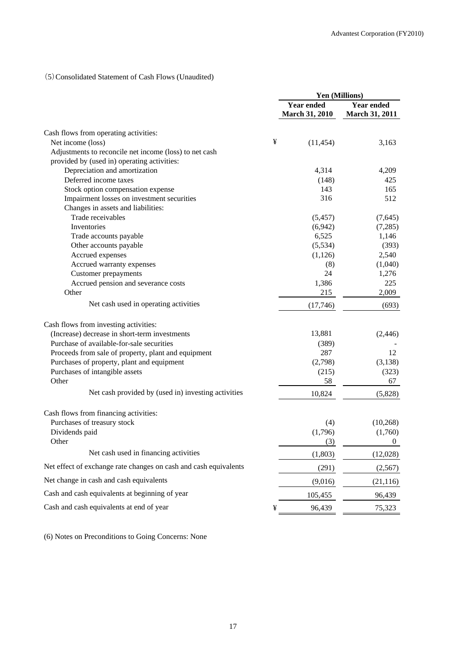# (5)Consolidated Statement of Cash Flows (Unaudited)

|                                                                  |   | <b>Yen (Millions)</b>                      |                                            |
|------------------------------------------------------------------|---|--------------------------------------------|--------------------------------------------|
|                                                                  |   | <b>Year ended</b><br><b>March 31, 2010</b> | <b>Year ended</b><br><b>March 31, 2011</b> |
| Cash flows from operating activities:                            |   |                                            |                                            |
| Net income (loss)                                                | ¥ | (11, 454)                                  | 3,163                                      |
| Adjustments to reconcile net income (loss) to net cash           |   |                                            |                                            |
| provided by (used in) operating activities:                      |   |                                            |                                            |
| Depreciation and amortization                                    |   | 4,314                                      | 4,209                                      |
| Deferred income taxes                                            |   | (148)                                      | 425                                        |
| Stock option compensation expense                                |   | 143                                        | 165                                        |
| Impairment losses on investment securities                       |   | 316                                        | 512                                        |
| Changes in assets and liabilities:                               |   |                                            |                                            |
| Trade receivables                                                |   | (5, 457)                                   | (7,645)                                    |
| Inventories                                                      |   | (6,942)                                    | (7,285)                                    |
| Trade accounts payable                                           |   | 6,525                                      | 1,146                                      |
| Other accounts payable                                           |   | (5,534)                                    | (393)                                      |
| Accrued expenses                                                 |   | (1,126)                                    | 2,540                                      |
| Accrued warranty expenses                                        |   | (8)                                        | (1,040)                                    |
| <b>Customer</b> prepayments                                      |   | 24                                         | 1,276                                      |
| Accrued pension and severance costs                              |   | 1,386                                      | 225                                        |
| Other                                                            |   | 215                                        | 2,009                                      |
| Net cash used in operating activities                            |   | (17,746)                                   | (693)                                      |
| Cash flows from investing activities:                            |   |                                            |                                            |
| (Increase) decrease in short-term investments                    |   | 13,881                                     | (2,446)                                    |
| Purchase of available-for-sale securities                        |   | (389)                                      |                                            |
| Proceeds from sale of property, plant and equipment              |   | 287                                        | 12                                         |
| Purchases of property, plant and equipment                       |   | (2,798)                                    | (3, 138)                                   |
| Purchases of intangible assets                                   |   | (215)                                      | (323)                                      |
| Other                                                            |   | 58                                         | 67                                         |
| Net cash provided by (used in) investing activities              |   | 10,824                                     | (5,828)                                    |
| Cash flows from financing activities:                            |   |                                            |                                            |
| Purchases of treasury stock                                      |   | (4)                                        | (10, 268)                                  |
| Dividends paid                                                   |   | (1,796)                                    | (1,760)                                    |
| Other                                                            |   | (3)                                        | 0                                          |
| Net cash used in financing activities                            |   | (1,803)                                    | (12,028)                                   |
| Net effect of exchange rate changes on cash and cash equivalents |   | (291)                                      | (2,567)                                    |
| Net change in cash and cash equivalents                          |   | (9,016)                                    | (21, 116)                                  |
| Cash and cash equivalents at beginning of year                   |   | 105,455                                    | 96,439                                     |
| Cash and cash equivalents at end of year                         | ¥ | 96,439                                     | 75,323                                     |

(6) Notes on Preconditions to Going Concerns: None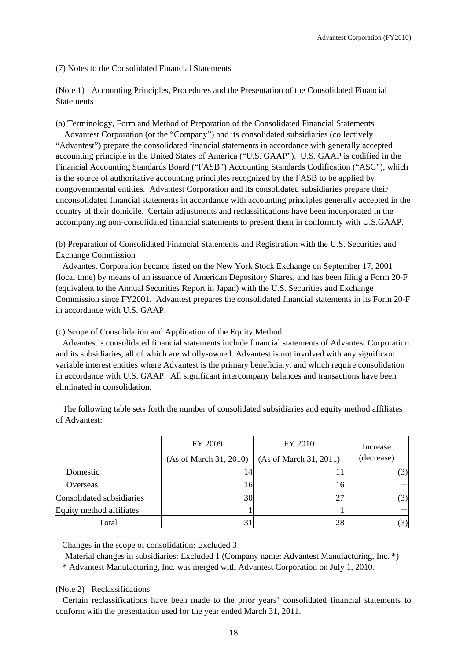(7) Notes to the Consolidated Financial Statements

(Note 1) Accounting Principles, Procedures and the Presentation of the Consolidated Financial **Statements** 

(a) Terminology, Form and Method of Preparation of the Consolidated Financial Statements

Advantest Corporation (or the "Company") and its consolidated subsidiaries (collectively "Advantest") prepare the consolidated financial statements in accordance with generally accepted accounting principle in the United States of America ("U.S. GAAP"). U.S. GAAP is codified in the Financial Accounting Standards Board ("FASB") Accounting Standards Codification ("ASC"), which is the source of authoritative accounting principles recognized by the FASB to be applied by nongovernmental entities. Advantest Corporation and its consolidated subsidiaries prepare their unconsolidated financial statements in accordance with accounting principles generally accepted in the country of their domicile. Certain adjustments and reclassifications have been incorporated in the accompanying non-consolidated financial statements to present them in conformity with U.S.GAAP.

(b) Preparation of Consolidated Financial Statements and Registration with the U.S. Securities and Exchange Commission

Advantest Corporation became listed on the New York Stock Exchange on September 17, 2001 (local time) by means of an issuance of American Depository Shares, and has been filing a Form 20-F (equivalent to the Annual Securities Report in Japan) with the U.S. Securities and Exchange Commission since FY2001. Advantest prepares the consolidated financial statements in its Form 20-F in accordance with U.S. GAAP.

(c) Scope of Consolidation and Application of the Equity Method

Advantest's consolidated financial statements include financial statements of Advantest Corporation and its subsidiaries, all of which are wholly-owned. Advantest is not involved with any significant variable interest entities where Advantest is the primary beneficiary, and which require consolidation in accordance with U.S. GAAP. All significant intercompany balances and transactions have been eliminated in consolidation.

|                           | FY 2009                | FY 2010                | Increase   |
|---------------------------|------------------------|------------------------|------------|
|                           | (As of March 31, 2010) | (As of March 31, 2011) | (decrease) |
| Domestic                  | 14                     |                        | (3)        |
| Overseas                  | 16                     | 16                     |            |
| Consolidated subsidiaries | 30                     | 27                     |            |
| Equity method affiliates  |                        |                        |            |
| Total                     |                        | 28                     |            |

The following table sets forth the number of consolidated subsidiaries and equity method affiliates of Advantest:

Changes in the scope of consolidation: Excluded 3

Material changes in subsidiaries: Excluded 1 (Company name: Advantest Manufacturing, Inc. \*)

\* Advantest Manufacturing, Inc. was merged with Advantest Corporation on July 1, 2010.

(Note 2) Reclassifications

Certain reclassifications have been made to the prior years' consolidated financial statements to conform with the presentation used for the year ended March 31, 2011.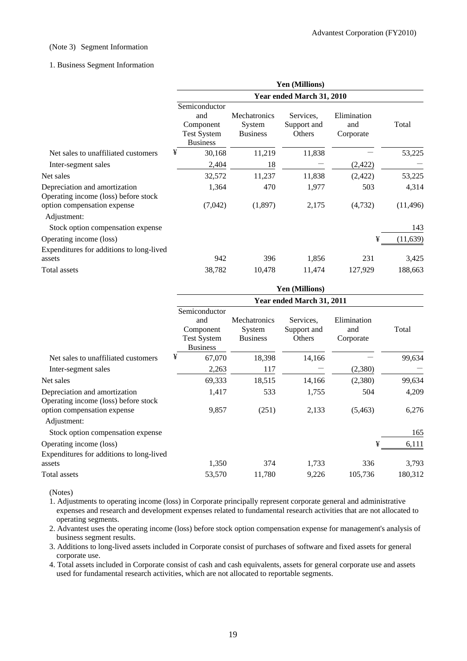### (Note 3) Segment Information

### 1. Business Segment Information

|                                                                       | Yen (Millions)                                                             |                                                  |                                    |                                 |           |  |
|-----------------------------------------------------------------------|----------------------------------------------------------------------------|--------------------------------------------------|------------------------------------|---------------------------------|-----------|--|
|                                                                       | Year ended March 31, 2010                                                  |                                                  |                                    |                                 |           |  |
|                                                                       | Semiconductor<br>and<br>Component<br><b>Test System</b><br><b>Business</b> | <b>Mechatronics</b><br>System<br><b>Business</b> | Services.<br>Support and<br>Others | Elimination<br>and<br>Corporate | Total     |  |
| Net sales to unaffiliated customers                                   | ¥<br>30,168                                                                | 11,219                                           | 11,838                             |                                 | 53,225    |  |
| Inter-segment sales                                                   | 2,404                                                                      | 18                                               |                                    | (2, 422)                        |           |  |
| Net sales                                                             | 32,572                                                                     | 11,237                                           | 11,838                             | (2,422)                         | 53,225    |  |
| Depreciation and amortization<br>Operating income (loss) before stock | 1,364                                                                      | 470                                              | 1,977                              | 503                             | 4,314     |  |
| option compensation expense<br>Adjustment:                            | (7,042)                                                                    | (1,897)                                          | 2,175                              | (4,732)                         | (11, 496) |  |
| Stock option compensation expense                                     |                                                                            |                                                  |                                    |                                 | 143       |  |
| Operating income (loss)<br>Expenditures for additions to long-lived   |                                                                            |                                                  |                                    | ¥                               | (11, 639) |  |
| assets                                                                | 942                                                                        | 396                                              | 1,856                              | 231                             | 3,425     |  |
| Total assets                                                          | 38,782                                                                     | 10,478                                           | 11,474                             | 127,929                         | 188,663   |  |

|                                                                       | <b>Yen (Millions)</b>                                                      |                                                  |                                    |                                 |         |  |
|-----------------------------------------------------------------------|----------------------------------------------------------------------------|--------------------------------------------------|------------------------------------|---------------------------------|---------|--|
|                                                                       | Year ended March 31, 2011                                                  |                                                  |                                    |                                 |         |  |
|                                                                       | Semiconductor<br>and<br>Component<br><b>Test System</b><br><b>Business</b> | <b>Mechatronics</b><br>System<br><b>Business</b> | Services.<br>Support and<br>Others | Elimination<br>and<br>Corporate | Total   |  |
| Net sales to unaffiliated customers                                   | ¥<br>67,070                                                                | 18,398                                           | 14,166                             |                                 | 99,634  |  |
| Inter-segment sales                                                   | 2,263                                                                      | 117                                              |                                    | (2,380)                         |         |  |
| Net sales                                                             | 69,333                                                                     | 18,515                                           | 14,166                             | (2,380)                         | 99,634  |  |
| Depreciation and amortization<br>Operating income (loss) before stock | 1,417                                                                      | 533                                              | 1,755                              | 504                             | 4,209   |  |
| option compensation expense<br>Adjustment:                            | 9,857                                                                      | (251)                                            | 2,133                              | (5, 463)                        | 6,276   |  |
| Stock option compensation expense                                     |                                                                            |                                                  |                                    |                                 | 165     |  |
| Operating income (loss)                                               |                                                                            |                                                  |                                    | ¥                               | 6,111   |  |
| Expenditures for additions to long-lived                              |                                                                            |                                                  |                                    |                                 |         |  |
| assets                                                                | 1,350                                                                      | 374                                              | 1,733                              | 336                             | 3,793   |  |
| Total assets                                                          | 53,570                                                                     | 11,780                                           | 9,226                              | 105,736                         | 180,312 |  |

(Notes)

1. Adjustments to operating income (loss) in Corporate principally represent corporate general and administrative expenses and research and development expenses related to fundamental research activities that are not allocated to operating segments.

2. Advantest uses the operating income (loss) before stock option compensation expense for management's analysis of business segment results.

3. Additions to long-lived assets included in Corporate consist of purchases of software and fixed assets for general corporate use.

4. Total assets included in Corporate consist of cash and cash equivalents, assets for general corporate use and assets used for fundamental research activities, which are not allocated to reportable segments.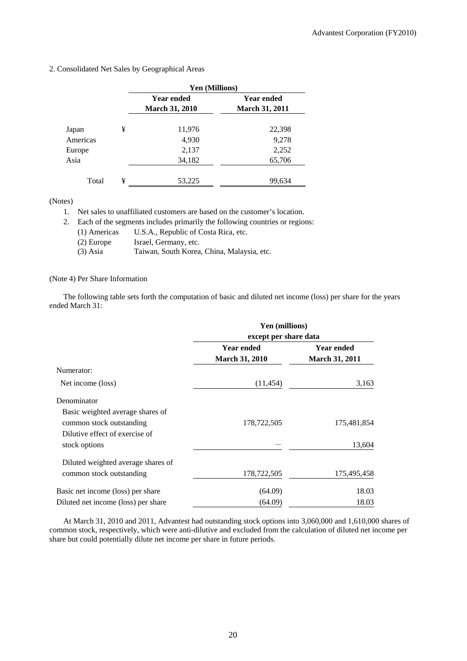|          |   | Yen (Millions)        |                       |  |
|----------|---|-----------------------|-----------------------|--|
|          |   | <b>Year ended</b>     | Year ended            |  |
|          |   | <b>March 31, 2010</b> | <b>March 31, 2011</b> |  |
| Japan    | ¥ | 11,976                | 22,398                |  |
| Americas |   | 4,930                 | 9,278                 |  |
| Europe   |   | 2,137                 | 2,252                 |  |
| Asia     |   | 34,182                | 65,706                |  |
| Total    | ¥ | 53,225                | 99,634                |  |

### 2. Consolidated Net Sales by Geographical Areas

(Notes)

1. Net sales to unaffiliated customers are based on the customer's location.

2. Each of the segments includes primarily the following countries or regions:

- (1) Americas U.S.A., Republic of Costa Rica, etc.
	- (2) Europe Israel, Germany, etc.
- (3) Asia Taiwan, South Korea, China, Malaysia, etc.

## (Note 4) Per Share Information

The following table sets forth the computation of basic and diluted net income (loss) per share for the years ended March 31:

|                                                              | Yen (millions)<br>except per share data    |                                            |  |  |
|--------------------------------------------------------------|--------------------------------------------|--------------------------------------------|--|--|
|                                                              |                                            |                                            |  |  |
|                                                              | <b>Year ended</b><br><b>March 31, 2010</b> | <b>Year ended</b><br><b>March 31, 2011</b> |  |  |
| Numerator:                                                   |                                            |                                            |  |  |
| Net income (loss)                                            | (11, 454)                                  | 3,163                                      |  |  |
| Denominator                                                  |                                            |                                            |  |  |
| Basic weighted average shares of<br>common stock outstanding | 178,722,505                                | 175,481,854                                |  |  |
| Dilutive effect of exercise of<br>stock options              |                                            | 13,604                                     |  |  |
| Diluted weighted average shares of                           |                                            |                                            |  |  |
| common stock outstanding                                     | 178,722,505                                | 175,495,458                                |  |  |
| Basic net income (loss) per share                            | (64.09)                                    | 18.03                                      |  |  |
| Diluted net income (loss) per share                          | (64.09)                                    | 18.03                                      |  |  |

At March 31, 2010 and 2011, Advantest had outstanding stock options into 3,060,000 and 1,610,000 shares of common stock, respectively, which were anti-dilutive and excluded from the calculation of diluted net income per share but could potentially dilute net income per share in future periods.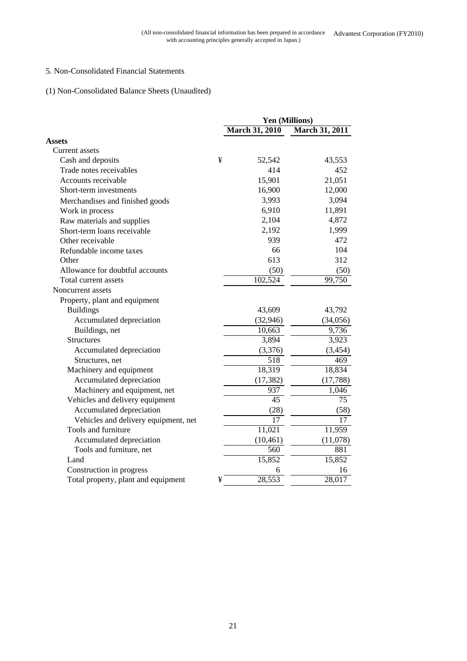# 5. Non-Consolidated Financial Statements

# (1) Non-Consolidated Balance Sheets (Unaudited)

|                                      | Yen (Millions) |                       |                       |
|--------------------------------------|----------------|-----------------------|-----------------------|
|                                      |                | <b>March 31, 2010</b> | <b>March 31, 2011</b> |
| <b>Assets</b>                        |                |                       |                       |
| Current assets                       |                |                       |                       |
| Cash and deposits                    | ¥              | 52,542                | 43,553                |
| Trade notes receivables              |                | 414                   | 452                   |
| Accounts receivable                  |                | 15,901                | 21,051                |
| Short-term investments               |                | 16,900                | 12,000                |
| Merchandises and finished goods      |                | 3,993                 | 3,094                 |
| Work in process                      |                | 6,910                 | 11,891                |
| Raw materials and supplies           |                | 2,104                 | 4,872                 |
| Short-term loans receivable          |                | 2,192                 | 1,999                 |
| Other receivable                     |                | 939                   | 472                   |
| Refundable income taxes              |                | 66                    | 104                   |
| Other                                |                | 613                   | 312                   |
| Allowance for doubtful accounts      |                | (50)                  | (50)                  |
| Total current assets                 |                | 102,524               | 99,750                |
| Noncurrent assets                    |                |                       |                       |
| Property, plant and equipment        |                |                       |                       |
| <b>Buildings</b>                     |                | 43,609                | 43,792                |
| Accumulated depreciation             |                | (32, 946)             | (34,056)              |
| Buildings, net                       |                | 10,663                | 9,736                 |
| <b>Structures</b>                    |                | 3,894                 | 3,923                 |
| Accumulated depreciation             |                | (3,376)               | (3, 454)              |
| Structures, net                      |                | 518                   | 469                   |
| Machinery and equipment              |                | 18,319                | 18,834                |
| Accumulated depreciation             |                | (17, 382)             | (17, 788)             |
| Machinery and equipment, net         |                | 937                   | 1,046                 |
| Vehicles and delivery equipment      |                | 45                    | 75                    |
| Accumulated depreciation             |                | (28)                  | (58)                  |
| Vehicles and delivery equipment, net |                | $\overline{17}$       | $\overline{17}$       |
| Tools and furniture                  |                | 11,021                | 11,959                |
| Accumulated depreciation             |                | (10, 461)             | (11,078)              |
| Tools and furniture, net             |                | 560                   | 881                   |
| Land                                 |                | 15,852                | 15,852                |
| Construction in progress             |                | 6                     | 16                    |
| Total property, plant and equipment  | ¥              | 28,553                | 28,017                |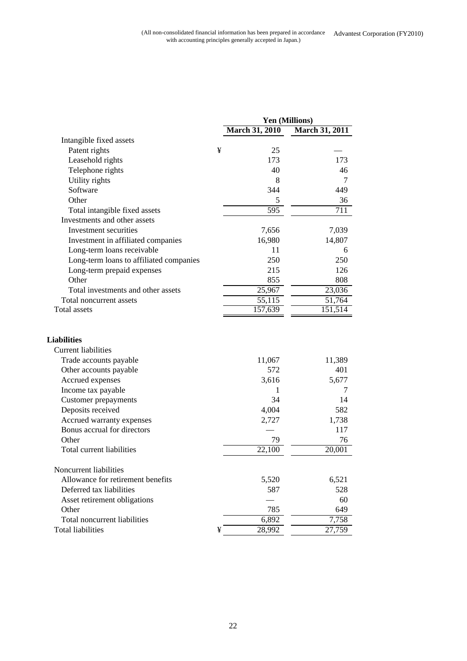|                                                  |   |                       | Yen (Millions)        |
|--------------------------------------------------|---|-----------------------|-----------------------|
|                                                  |   | <b>March 31, 2010</b> | <b>March 31, 2011</b> |
| Intangible fixed assets                          |   |                       |                       |
| Patent rights                                    | ¥ | 25                    |                       |
| Leasehold rights                                 |   | 173                   | 173                   |
| Telephone rights                                 |   | 40                    | 46                    |
| Utility rights                                   |   | 8                     | 7                     |
| Software                                         |   | 344                   | 449                   |
| Other                                            |   | 5                     | 36                    |
| Total intangible fixed assets                    |   | $\overline{595}$      | $\overline{7}11$      |
| Investments and other assets                     |   |                       |                       |
| Investment securities                            |   | 7,656                 | 7,039                 |
| Investment in affiliated companies               |   | 16,980                | 14,807                |
| Long-term loans receivable                       |   | 11                    | 6                     |
| Long-term loans to affiliated companies          |   | 250                   | 250                   |
| Long-term prepaid expenses                       |   | 215                   | 126                   |
| Other                                            |   | 855                   | 808                   |
| Total investments and other assets               |   | 25,967                | 23,036                |
| Total noncurrent assets                          |   | 55,115                | 51,764                |
| Total assets                                     |   | 157,639               | 151,514               |
| <b>Liabilities</b><br><b>Current liabilities</b> |   |                       |                       |
| Trade accounts payable                           |   | 11,067                | 11,389                |
| Other accounts payable                           |   | 572                   | 401                   |
| Accrued expenses                                 |   | 3,616                 | 5,677                 |
| Income tax payable                               |   | 1                     | 7                     |
| <b>Customer</b> prepayments                      |   | 34                    | 14                    |
| Deposits received                                |   | 4,004                 | 582                   |
| Accrued warranty expenses                        |   | 2,727                 | 1,738                 |
| Bonus accrual for directors                      |   |                       | 117                   |
| Other                                            |   | 79                    | 76                    |
| Total current liabilities                        |   | 22,100                | 20,001                |
| Noncurrent liabilities                           |   |                       |                       |
| Allowance for retirement benefits                |   | 5,520                 | 6,521                 |
| Deferred tax liabilities                         |   | 587                   | 528                   |
| Asset retirement obligations                     |   |                       | 60                    |
| Other                                            |   | 785                   | 649                   |
| Total noncurrent liabilities                     |   | 6,892                 | 7,758                 |
| <b>Total liabilities</b>                         | ¥ | 28,992                | 27,759                |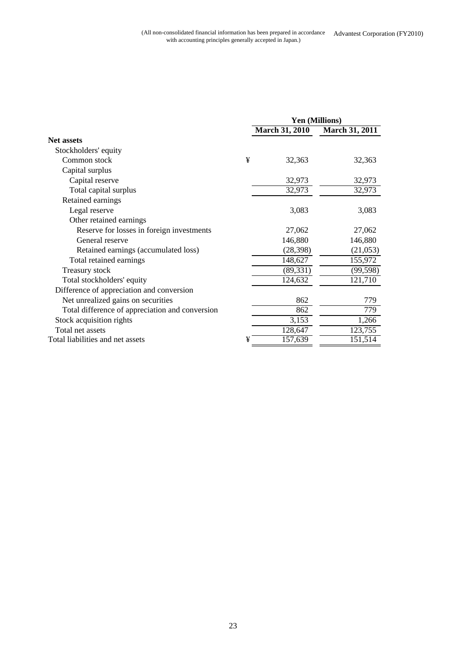|                                                 | Yen (Millions) |                       |                       |
|-------------------------------------------------|----------------|-----------------------|-----------------------|
|                                                 |                | <b>March 31, 2010</b> | <b>March 31, 2011</b> |
| Net assets                                      |                |                       |                       |
| Stockholders' equity                            |                |                       |                       |
| Common stock                                    | ¥              | 32,363                | 32,363                |
| Capital surplus                                 |                |                       |                       |
| Capital reserve                                 |                | 32,973                | 32,973                |
| Total capital surplus                           |                | 32,973                | 32,973                |
| Retained earnings                               |                |                       |                       |
| Legal reserve                                   |                | 3,083                 | 3,083                 |
| Other retained earnings                         |                |                       |                       |
| Reserve for losses in foreign investments       |                | 27,062                | 27,062                |
| General reserve                                 |                | 146,880               | 146,880               |
| Retained earnings (accumulated loss)            |                | (28, 398)             | (21,053)              |
| Total retained earnings                         |                | 148,627               | 155,972               |
| Treasury stock                                  |                | (89, 331)             | (99, 598)             |
| Total stockholders' equity                      |                | 124,632               | 121,710               |
| Difference of appreciation and conversion       |                |                       |                       |
| Net unrealized gains on securities              |                | 862                   | 779                   |
| Total difference of appreciation and conversion |                | 862                   | 779                   |
| Stock acquisition rights                        |                | 3,153                 | 1,266                 |
| Total net assets                                |                | 128,647               | 123,755               |
| Total liabilities and net assets                | ¥              | 157,639               | 151,514               |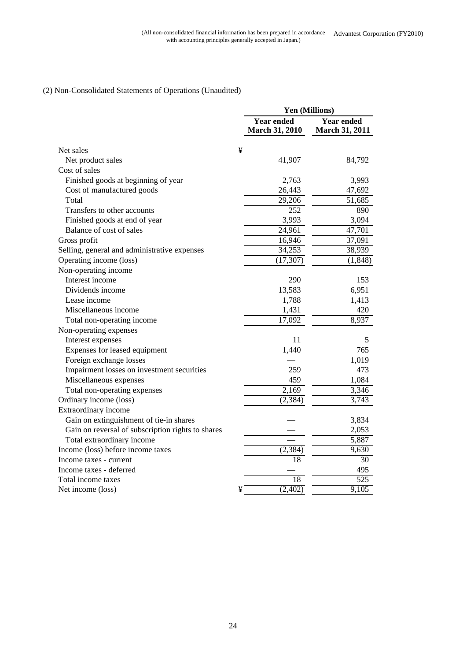# (2) Non-Consolidated Statements of Operations (Unaudited)

|                                                   | Yen (Millions)                             |                                            |
|---------------------------------------------------|--------------------------------------------|--------------------------------------------|
|                                                   | <b>Year ended</b><br><b>March 31, 2010</b> | <b>Year ended</b><br><b>March 31, 2011</b> |
| Net sales                                         | ¥                                          |                                            |
| Net product sales                                 | 41,907                                     | 84,792                                     |
| Cost of sales                                     |                                            |                                            |
| Finished goods at beginning of year               | 2,763                                      | 3,993                                      |
| Cost of manufactured goods                        | 26,443                                     | 47,692                                     |
| Total                                             | 29,206                                     | 51,685                                     |
| Transfers to other accounts                       | $\overline{252}$                           | 890                                        |
| Finished goods at end of year                     | 3,993                                      | 3,094                                      |
| Balance of cost of sales                          | 24,961                                     | 47,701                                     |
| Gross profit                                      | 16,946                                     | 37,091                                     |
| Selling, general and administrative expenses      | 34,253                                     | 38,939                                     |
| Operating income (loss)                           | (17, 307)                                  | (1, 848)                                   |
| Non-operating income                              |                                            |                                            |
| Interest income                                   | 290                                        | 153                                        |
| Dividends income                                  | 13,583                                     | 6,951                                      |
| Lease income                                      | 1,788                                      | 1,413                                      |
| Miscellaneous income                              | 1,431                                      | 420                                        |
| Total non-operating income                        | $\overline{17,092}$                        | 8,937                                      |
| Non-operating expenses                            |                                            |                                            |
| Interest expenses                                 | 11                                         | 5                                          |
| Expenses for leased equipment                     | 1,440                                      | 765                                        |
| Foreign exchange losses                           |                                            | 1,019                                      |
| Impairment losses on investment securities        | 259                                        | 473                                        |
| Miscellaneous expenses                            | 459                                        | 1,084                                      |
| Total non-operating expenses                      | 2,169                                      | 3,346                                      |
| Ordinary income (loss)                            | (2, 384)                                   | 3,743                                      |
| Extraordinary income                              |                                            |                                            |
| Gain on extinguishment of tie-in shares           |                                            | 3,834                                      |
| Gain on reversal of subscription rights to shares |                                            | 2,053                                      |
| Total extraordinary income                        |                                            | 5,887                                      |
| Income (loss) before income taxes                 | (2, 384)                                   | 9,630                                      |
| Income taxes - current                            | 18                                         | 30                                         |
| Income taxes - deferred                           |                                            | 495                                        |
| Total income taxes                                | 18                                         | 525                                        |
| Net income (loss)                                 | (2,402)<br>¥                               | 9,105                                      |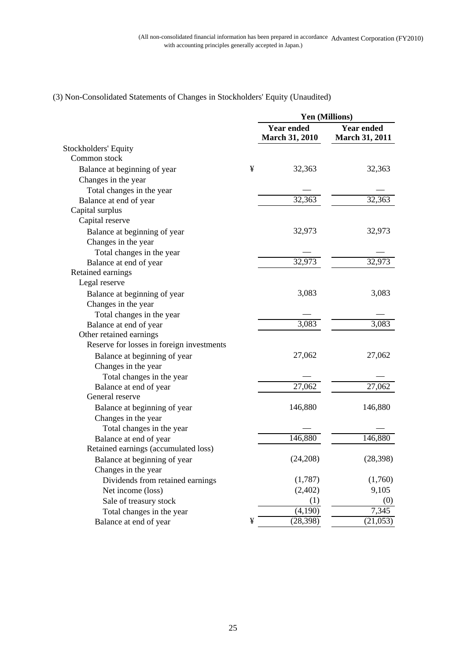|                                           |   |                                            | <b>Yen (Millions)</b>                      |
|-------------------------------------------|---|--------------------------------------------|--------------------------------------------|
|                                           |   | <b>Year ended</b><br><b>March 31, 2010</b> | <b>Year ended</b><br><b>March 31, 2011</b> |
| Stockholders' Equity                      |   |                                            |                                            |
| Common stock                              |   |                                            |                                            |
| Balance at beginning of year              | ¥ | 32,363                                     | 32,363                                     |
| Changes in the year                       |   |                                            |                                            |
| Total changes in the year                 |   |                                            |                                            |
| Balance at end of year                    |   | 32,363                                     | 32,363                                     |
| Capital surplus                           |   |                                            |                                            |
| Capital reserve                           |   |                                            |                                            |
| Balance at beginning of year              |   | 32,973                                     | 32,973                                     |
| Changes in the year                       |   |                                            |                                            |
| Total changes in the year                 |   |                                            |                                            |
| Balance at end of year                    |   | 32,973                                     | 32,973                                     |
| Retained earnings                         |   |                                            |                                            |
| Legal reserve                             |   |                                            |                                            |
| Balance at beginning of year              |   | 3,083                                      | 3,083                                      |
| Changes in the year                       |   |                                            |                                            |
| Total changes in the year                 |   |                                            |                                            |
| Balance at end of year                    |   | 3,083                                      | 3,083                                      |
| Other retained earnings                   |   |                                            |                                            |
| Reserve for losses in foreign investments |   |                                            |                                            |
| Balance at beginning of year              |   | 27,062                                     | 27,062                                     |
| Changes in the year                       |   |                                            |                                            |
| Total changes in the year                 |   |                                            |                                            |
| Balance at end of year                    |   | 27,062                                     | $\overline{27,062}$                        |
| General reserve                           |   |                                            |                                            |
| Balance at beginning of year              |   | 146,880                                    | 146,880                                    |
| Changes in the year                       |   |                                            |                                            |
| Total changes in the year                 |   |                                            |                                            |
| Balance at end of year                    |   | 146,880                                    | 146,880                                    |
| Retained earnings (accumulated loss)      |   |                                            |                                            |
| Balance at beginning of year              |   | (24,208)                                   | (28, 398)                                  |
| Changes in the year                       |   |                                            |                                            |
| Dividends from retained earnings          |   | (1,787)                                    | (1,760)                                    |
| Net income (loss)                         |   | (2,402)                                    | 9,105                                      |
| Sale of treasury stock                    |   | (1)                                        | (0)                                        |
| Total changes in the year                 |   | (4,190)                                    | 7,345                                      |
| Balance at end of year                    | ¥ | (28, 398)                                  | (21,053)                                   |

# (3) Non-Consolidated Statements of Changes in Stockholders' Equity (Unaudited)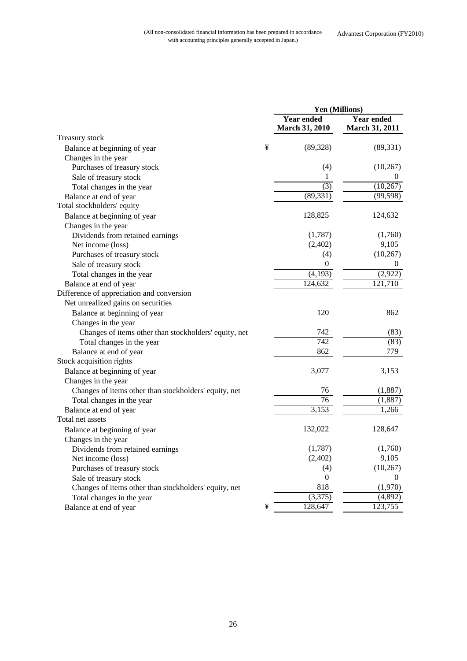| <b>Year ended</b><br><b>Year ended</b><br><b>March 31, 2010</b><br>March 31, 2011<br>Treasury stock<br>¥<br>(89, 328)<br>(89, 331)<br>Balance at beginning of year<br>Changes in the year<br>(4)<br>(10, 267)<br>Purchases of treasury stock<br>1<br>Sale of treasury stock<br>$_{0}$<br>$\overline{(3)}$<br>(10, 267)<br>Total changes in the year<br>(89, 331)<br>(99, 598)<br>Balance at end of year<br>Total stockholders' equity<br>128,825<br>124,632<br>Balance at beginning of year<br>Changes in the year<br>(1,787)<br>(1,760)<br>Dividends from retained earnings<br>(2,402)<br>9,105<br>Net income (loss)<br>(10, 267)<br>Purchases of treasury stock<br>(4)<br>0<br>Sale of treasury stock<br>$\theta$<br>(4,193)<br>(2,922)<br>Total changes in the year |                        | Yen (Millions) |         |
|------------------------------------------------------------------------------------------------------------------------------------------------------------------------------------------------------------------------------------------------------------------------------------------------------------------------------------------------------------------------------------------------------------------------------------------------------------------------------------------------------------------------------------------------------------------------------------------------------------------------------------------------------------------------------------------------------------------------------------------------------------------------|------------------------|----------------|---------|
|                                                                                                                                                                                                                                                                                                                                                                                                                                                                                                                                                                                                                                                                                                                                                                        |                        |                |         |
|                                                                                                                                                                                                                                                                                                                                                                                                                                                                                                                                                                                                                                                                                                                                                                        |                        |                |         |
|                                                                                                                                                                                                                                                                                                                                                                                                                                                                                                                                                                                                                                                                                                                                                                        |                        |                |         |
|                                                                                                                                                                                                                                                                                                                                                                                                                                                                                                                                                                                                                                                                                                                                                                        |                        |                |         |
|                                                                                                                                                                                                                                                                                                                                                                                                                                                                                                                                                                                                                                                                                                                                                                        |                        |                |         |
|                                                                                                                                                                                                                                                                                                                                                                                                                                                                                                                                                                                                                                                                                                                                                                        |                        |                |         |
|                                                                                                                                                                                                                                                                                                                                                                                                                                                                                                                                                                                                                                                                                                                                                                        |                        |                |         |
|                                                                                                                                                                                                                                                                                                                                                                                                                                                                                                                                                                                                                                                                                                                                                                        |                        |                |         |
|                                                                                                                                                                                                                                                                                                                                                                                                                                                                                                                                                                                                                                                                                                                                                                        |                        |                |         |
|                                                                                                                                                                                                                                                                                                                                                                                                                                                                                                                                                                                                                                                                                                                                                                        |                        |                |         |
|                                                                                                                                                                                                                                                                                                                                                                                                                                                                                                                                                                                                                                                                                                                                                                        |                        |                |         |
|                                                                                                                                                                                                                                                                                                                                                                                                                                                                                                                                                                                                                                                                                                                                                                        |                        |                |         |
|                                                                                                                                                                                                                                                                                                                                                                                                                                                                                                                                                                                                                                                                                                                                                                        |                        |                |         |
|                                                                                                                                                                                                                                                                                                                                                                                                                                                                                                                                                                                                                                                                                                                                                                        |                        |                |         |
|                                                                                                                                                                                                                                                                                                                                                                                                                                                                                                                                                                                                                                                                                                                                                                        |                        |                |         |
|                                                                                                                                                                                                                                                                                                                                                                                                                                                                                                                                                                                                                                                                                                                                                                        |                        |                |         |
|                                                                                                                                                                                                                                                                                                                                                                                                                                                                                                                                                                                                                                                                                                                                                                        | Balance at end of year | 124,632        | 121,710 |
| Difference of appreciation and conversion                                                                                                                                                                                                                                                                                                                                                                                                                                                                                                                                                                                                                                                                                                                              |                        |                |         |
| Net unrealized gains on securities                                                                                                                                                                                                                                                                                                                                                                                                                                                                                                                                                                                                                                                                                                                                     |                        |                |         |
| 120<br>862<br>Balance at beginning of year                                                                                                                                                                                                                                                                                                                                                                                                                                                                                                                                                                                                                                                                                                                             |                        |                |         |
| Changes in the year                                                                                                                                                                                                                                                                                                                                                                                                                                                                                                                                                                                                                                                                                                                                                    |                        |                |         |
| 742<br>Changes of items other than stockholders' equity, net<br>(83)                                                                                                                                                                                                                                                                                                                                                                                                                                                                                                                                                                                                                                                                                                   |                        |                |         |
| 742<br>(83)<br>Total changes in the year                                                                                                                                                                                                                                                                                                                                                                                                                                                                                                                                                                                                                                                                                                                               |                        |                |         |
| 779<br>862<br>Balance at end of year                                                                                                                                                                                                                                                                                                                                                                                                                                                                                                                                                                                                                                                                                                                                   |                        |                |         |
| Stock acquisition rights                                                                                                                                                                                                                                                                                                                                                                                                                                                                                                                                                                                                                                                                                                                                               |                        |                |         |
| 3,077<br>3,153<br>Balance at beginning of year                                                                                                                                                                                                                                                                                                                                                                                                                                                                                                                                                                                                                                                                                                                         |                        |                |         |
| Changes in the year                                                                                                                                                                                                                                                                                                                                                                                                                                                                                                                                                                                                                                                                                                                                                    |                        |                |         |
| 76<br>(1,887)<br>Changes of items other than stockholders' equity, net                                                                                                                                                                                                                                                                                                                                                                                                                                                                                                                                                                                                                                                                                                 |                        |                |         |
| 76<br>(1,887)<br>Total changes in the year                                                                                                                                                                                                                                                                                                                                                                                                                                                                                                                                                                                                                                                                                                                             |                        |                |         |
| 3,153<br>1,266<br>Balance at end of year                                                                                                                                                                                                                                                                                                                                                                                                                                                                                                                                                                                                                                                                                                                               |                        |                |         |
| Total net assets                                                                                                                                                                                                                                                                                                                                                                                                                                                                                                                                                                                                                                                                                                                                                       |                        |                |         |
| 132,022<br>128,647<br>Balance at beginning of year                                                                                                                                                                                                                                                                                                                                                                                                                                                                                                                                                                                                                                                                                                                     |                        |                |         |
| Changes in the year                                                                                                                                                                                                                                                                                                                                                                                                                                                                                                                                                                                                                                                                                                                                                    |                        |                |         |
| Dividends from retained earnings<br>(1,787)<br>(1,760)                                                                                                                                                                                                                                                                                                                                                                                                                                                                                                                                                                                                                                                                                                                 |                        |                |         |
| 9,105<br>(2,402)<br>Net income (loss)                                                                                                                                                                                                                                                                                                                                                                                                                                                                                                                                                                                                                                                                                                                                  |                        |                |         |
| (10, 267)<br>Purchases of treasury stock<br>(4)                                                                                                                                                                                                                                                                                                                                                                                                                                                                                                                                                                                                                                                                                                                        |                        |                |         |
| $\boldsymbol{0}$<br>$\theta$<br>Sale of treasury stock                                                                                                                                                                                                                                                                                                                                                                                                                                                                                                                                                                                                                                                                                                                 |                        |                |         |
| 818<br>(1,970)<br>Changes of items other than stockholders' equity, net                                                                                                                                                                                                                                                                                                                                                                                                                                                                                                                                                                                                                                                                                                |                        |                |         |
| (3,375)<br>(4,892)<br>Total changes in the year                                                                                                                                                                                                                                                                                                                                                                                                                                                                                                                                                                                                                                                                                                                        |                        |                |         |
| 128,647<br>123,755<br>¥<br>Balance at end of year                                                                                                                                                                                                                                                                                                                                                                                                                                                                                                                                                                                                                                                                                                                      |                        |                |         |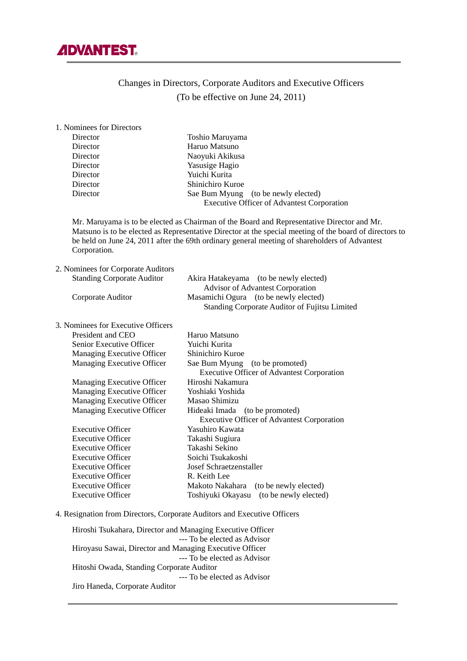

# Changes in Directors, Corporate Auditors and Executive Officers (To be effective on June 24, 2011)

| 1. Nominees for Directors                                                |                                                                                                                                                                                                                                                                                                        |
|--------------------------------------------------------------------------|--------------------------------------------------------------------------------------------------------------------------------------------------------------------------------------------------------------------------------------------------------------------------------------------------------|
| Director                                                                 | Toshio Maruyama                                                                                                                                                                                                                                                                                        |
| Director                                                                 | Haruo Matsuno                                                                                                                                                                                                                                                                                          |
| Director                                                                 | Naoyuki Akikusa                                                                                                                                                                                                                                                                                        |
| Director                                                                 | Yasusige Hagio                                                                                                                                                                                                                                                                                         |
| Director                                                                 | Yuichi Kurita                                                                                                                                                                                                                                                                                          |
| Director                                                                 | Shinichiro Kuroe                                                                                                                                                                                                                                                                                       |
| Director                                                                 | Sae Bum Myung (to be newly elected)                                                                                                                                                                                                                                                                    |
|                                                                          | <b>Executive Officer of Advantest Corporation</b>                                                                                                                                                                                                                                                      |
| Corporation.                                                             | Mr. Maruyama is to be elected as Chairman of the Board and Representative Director and Mr.<br>Matsuno is to be elected as Representative Director at the special meeting of the board of directors to<br>be held on June 24, 2011 after the 69th ordinary general meeting of shareholders of Advantest |
| 2. Nominees for Corporate Auditors                                       |                                                                                                                                                                                                                                                                                                        |
| <b>Standing Corporate Auditor</b>                                        | Akira Hatakeyama (to be newly elected)                                                                                                                                                                                                                                                                 |
|                                                                          | <b>Advisor of Advantest Corporation</b>                                                                                                                                                                                                                                                                |
| Corporate Auditor                                                        | Masamichi Ogura (to be newly elected)<br>Standing Corporate Auditor of Fujitsu Limited                                                                                                                                                                                                                 |
|                                                                          |                                                                                                                                                                                                                                                                                                        |
| 3. Nominees for Executive Officers                                       |                                                                                                                                                                                                                                                                                                        |
| President and CEO                                                        | Haruo Matsuno                                                                                                                                                                                                                                                                                          |
| Senior Executive Officer                                                 | Yuichi Kurita                                                                                                                                                                                                                                                                                          |
| Managing Executive Officer                                               | Shinichiro Kuroe                                                                                                                                                                                                                                                                                       |
| Managing Executive Officer                                               | Sae Bum Myung (to be promoted)                                                                                                                                                                                                                                                                         |
|                                                                          | <b>Executive Officer of Advantest Corporation</b>                                                                                                                                                                                                                                                      |
| Managing Executive Officer                                               | Hiroshi Nakamura                                                                                                                                                                                                                                                                                       |
| Managing Executive Officer                                               | Yoshiaki Yoshida<br>Masao Shimizu                                                                                                                                                                                                                                                                      |
| Managing Executive Officer<br>Managing Executive Officer                 |                                                                                                                                                                                                                                                                                                        |
|                                                                          | Hideaki Imada (to be promoted)<br><b>Executive Officer of Advantest Corporation</b>                                                                                                                                                                                                                    |
| <b>Executive Officer</b>                                                 | Yasuhiro Kawata                                                                                                                                                                                                                                                                                        |
| <b>Executive Officer</b>                                                 | Takashi Sugiura                                                                                                                                                                                                                                                                                        |
| <b>Executive Officer</b>                                                 | Takashi Sekino                                                                                                                                                                                                                                                                                         |
| <b>Executive Officer</b>                                                 | Soichi Tsukakoshi                                                                                                                                                                                                                                                                                      |
| <b>Executive Officer</b>                                                 | <b>Josef Schraetzenstaller</b>                                                                                                                                                                                                                                                                         |
| <b>Executive Officer</b>                                                 | R. Keith Lee                                                                                                                                                                                                                                                                                           |
| <b>Executive Officer</b>                                                 | Makoto Nakahara<br>(to be newly elected)                                                                                                                                                                                                                                                               |
| <b>Executive Officer</b>                                                 | Toshiyuki Okayasu<br>(to be newly elected)                                                                                                                                                                                                                                                             |
| 4. Resignation from Directors, Corporate Auditors and Executive Officers |                                                                                                                                                                                                                                                                                                        |
| Hiroshi Tsukahara, Director and Managing Executive Officer               |                                                                                                                                                                                                                                                                                                        |

 --- To be elected as Advisor Hiroyasu Sawai, Director and Managing Executive Officer --- To be elected as Advisor Hitoshi Owada, Standing Corporate Auditor --- To be elected as Advisor Jiro Haneda, Corporate Auditor